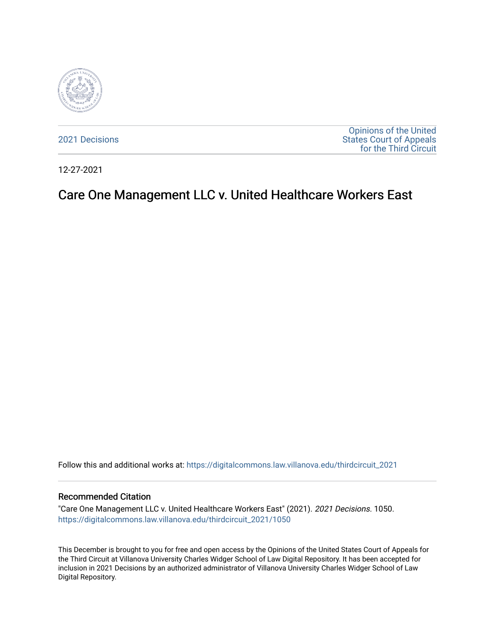

[2021 Decisions](https://digitalcommons.law.villanova.edu/thirdcircuit_2021)

[Opinions of the United](https://digitalcommons.law.villanova.edu/thirdcircuit)  [States Court of Appeals](https://digitalcommons.law.villanova.edu/thirdcircuit)  [for the Third Circuit](https://digitalcommons.law.villanova.edu/thirdcircuit) 

12-27-2021

# Care One Management LLC v. United Healthcare Workers East

Follow this and additional works at: [https://digitalcommons.law.villanova.edu/thirdcircuit\\_2021](https://digitalcommons.law.villanova.edu/thirdcircuit_2021?utm_source=digitalcommons.law.villanova.edu%2Fthirdcircuit_2021%2F1050&utm_medium=PDF&utm_campaign=PDFCoverPages) 

#### Recommended Citation

"Care One Management LLC v. United Healthcare Workers East" (2021). 2021 Decisions. 1050. [https://digitalcommons.law.villanova.edu/thirdcircuit\\_2021/1050](https://digitalcommons.law.villanova.edu/thirdcircuit_2021/1050?utm_source=digitalcommons.law.villanova.edu%2Fthirdcircuit_2021%2F1050&utm_medium=PDF&utm_campaign=PDFCoverPages) 

This December is brought to you for free and open access by the Opinions of the United States Court of Appeals for the Third Circuit at Villanova University Charles Widger School of Law Digital Repository. It has been accepted for inclusion in 2021 Decisions by an authorized administrator of Villanova University Charles Widger School of Law Digital Repository.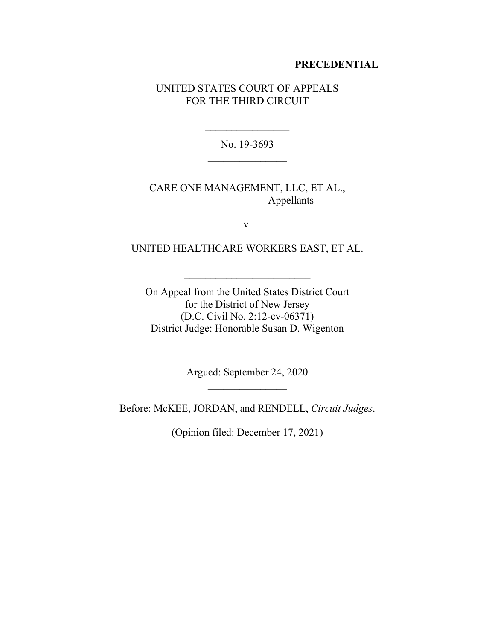#### **PRECEDENTIAL**

#### UNITED STATES COURT OF APPEALS FOR THE THIRD CIRCUIT

No. 19-3693

# CARE ONE MANAGEMENT, LLC, ET AL., Appellants

v.

## UNITED HEALTHCARE WORKERS EAST, ET AL.

On Appeal from the United States District Court for the District of New Jersey (D.C. Civil No. 2:12-cv-06371) District Judge: Honorable Susan D. Wigenton

 $\mathcal{L}_\text{max}$ 

Argued: September 24, 2020

Before: McKEE, JORDAN, and RENDELL, *Circuit Judges*.

(Opinion filed: December 17, 2021)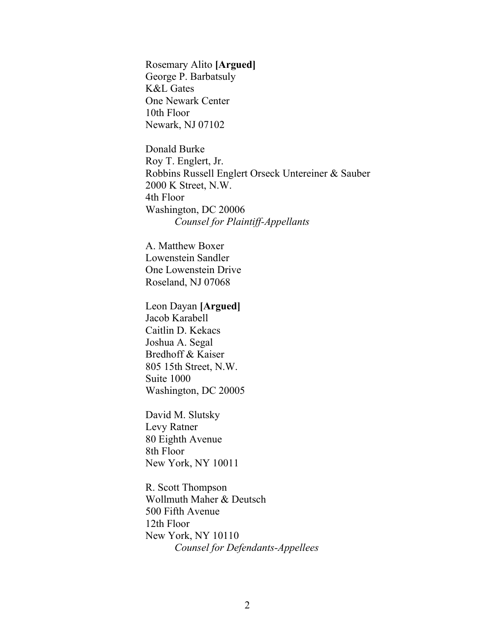Rosemary Alito **[Argued]** George P. Barbatsuly K&L Gates One Newark Center 10th Floor Newark, NJ 07102

Donald Burke Roy T. Englert, Jr. Robbins Russell Englert Orseck Untereiner & Sauber 2000 K Street, N.W. 4th Floor Washington, DC 20006 *Counsel for Plaintiff-Appellants*

A. Matthew Boxer Lowenstein Sandler One Lowenstein Drive Roseland, NJ 07068

Leon Dayan **[Argued]** Jacob Karabell Caitlin D. Kekacs Joshua A. Segal Bredhoff & Kaiser 805 15th Street, N.W. Suite 1000 Washington, DC 20005

David M. Slutsky Levy Ratner 80 Eighth Avenue 8th Floor New York, NY 10011

R. Scott Thompson Wollmuth Maher & Deutsch 500 Fifth Avenue 12th Floor New York, NY 10110 *Counsel for Defendants-Appellees*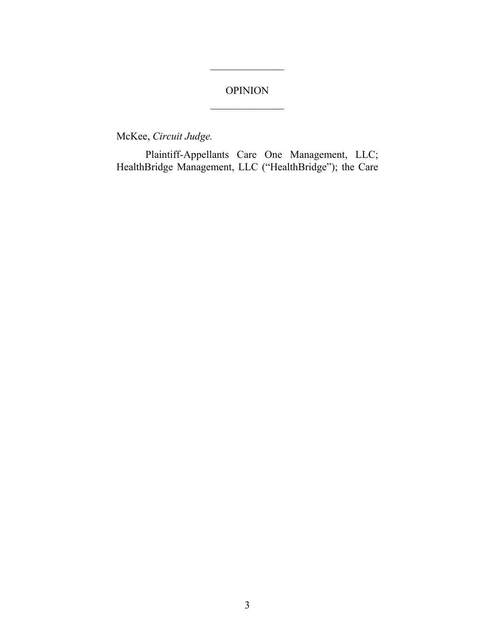# OPINION

 $\frac{1}{2}$ 

McKee, *Circuit Judge.*

Plaintiff-Appellants Care One Management, LLC; HealthBridge Management, LLC ("HealthBridge"); the Care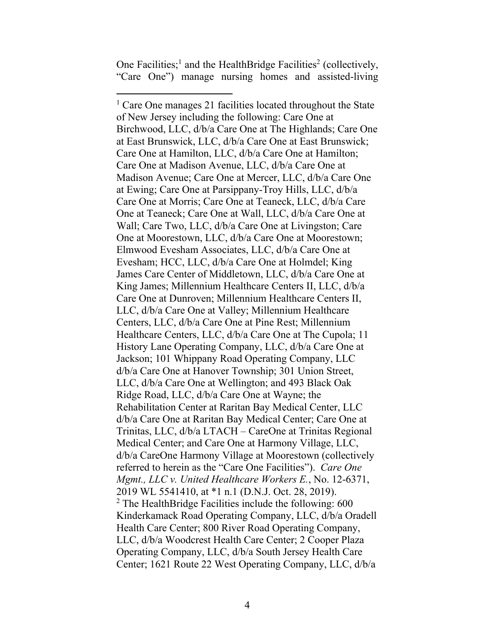One Facilities;<sup>1</sup> and the HealthBridge Facilities<sup>2</sup> (collectively, "Care One") manage nursing homes and assisted-living

<sup>&</sup>lt;sup>1</sup> Care One manages 21 facilities located throughout the State of New Jersey including the following: Care One at Birchwood, LLC, d/b/a Care One at The Highlands; Care One at East Brunswick, LLC, d/b/a Care One at East Brunswick; Care One at Hamilton, LLC, d/b/a Care One at Hamilton; Care One at Madison Avenue, LLC, d/b/a Care One at Madison Avenue; Care One at Mercer, LLC, d/b/a Care One at Ewing; Care One at Parsippany-Troy Hills, LLC, d/b/a Care One at Morris; Care One at Teaneck, LLC, d/b/a Care One at Teaneck; Care One at Wall, LLC, d/b/a Care One at Wall; Care Two, LLC, d/b/a Care One at Livingston; Care One at Moorestown, LLC, d/b/a Care One at Moorestown; Elmwood Evesham Associates, LLC, d/b/a Care One at Evesham; HCC, LLC, d/b/a Care One at Holmdel; King James Care Center of Middletown, LLC, d/b/a Care One at King James; Millennium Healthcare Centers II, LLC, d/b/a Care One at Dunroven; Millennium Healthcare Centers II, LLC, d/b/a Care One at Valley; Millennium Healthcare Centers, LLC, d/b/a Care One at Pine Rest; Millennium Healthcare Centers, LLC, d/b/a Care One at The Cupola; 11 History Lane Operating Company, LLC, d/b/a Care One at Jackson; 101 Whippany Road Operating Company, LLC d/b/a Care One at Hanover Township; 301 Union Street, LLC, d/b/a Care One at Wellington; and 493 Black Oak Ridge Road, LLC, d/b/a Care One at Wayne; the Rehabilitation Center at Raritan Bay Medical Center, LLC d/b/a Care One at Raritan Bay Medical Center; Care One at Trinitas, LLC, d/b/a LTACH – CareOne at Trinitas Regional Medical Center; and Care One at Harmony Village, LLC, d/b/a CareOne Harmony Village at Moorestown (collectively referred to herein as the "Care One Facilities"). *Care One Mgmt., LLC v. United Healthcare Workers E.*, No. 12-6371, 2019 WL 5541410, at \*1 n.1 (D.N.J. Oct. 28, 2019). <sup>2</sup> The HealthBridge Facilities include the following:  $600$ Kinderkamack Road Operating Company, LLC, d/b/a Oradell Health Care Center; 800 River Road Operating Company, LLC, d/b/a Woodcrest Health Care Center; 2 Cooper Plaza Operating Company, LLC, d/b/a South Jersey Health Care Center; 1621 Route 22 West Operating Company, LLC, d/b/a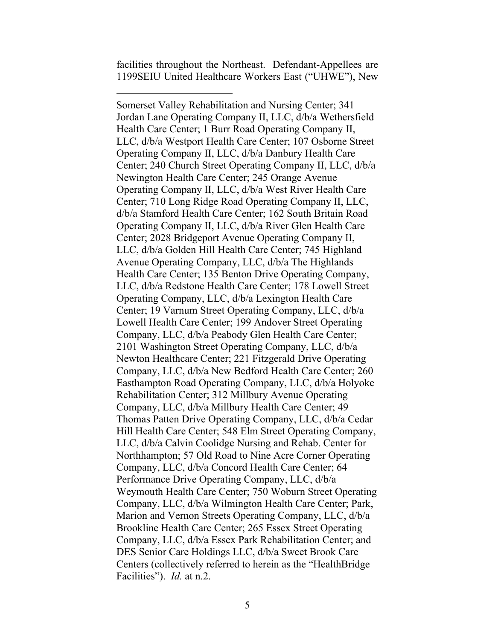facilities throughout the Northeast. Defendant-Appellees are 1199SEIU United Healthcare Workers East ("UHWE"), New

Somerset Valley Rehabilitation and Nursing Center; 341 Jordan Lane Operating Company II, LLC, d/b/a Wethersfield Health Care Center; 1 Burr Road Operating Company II, LLC, d/b/a Westport Health Care Center; 107 Osborne Street Operating Company II, LLC, d/b/a Danbury Health Care Center; 240 Church Street Operating Company II, LLC, d/b/a Newington Health Care Center; 245 Orange Avenue Operating Company II, LLC, d/b/a West River Health Care Center; 710 Long Ridge Road Operating Company II, LLC, d/b/a Stamford Health Care Center; 162 South Britain Road Operating Company II, LLC, d/b/a River Glen Health Care Center; 2028 Bridgeport Avenue Operating Company II, LLC, d/b/a Golden Hill Health Care Center; 745 Highland Avenue Operating Company, LLC, d/b/a The Highlands Health Care Center; 135 Benton Drive Operating Company, LLC, d/b/a Redstone Health Care Center; 178 Lowell Street Operating Company, LLC, d/b/a Lexington Health Care Center; 19 Varnum Street Operating Company, LLC, d/b/a Lowell Health Care Center; 199 Andover Street Operating Company, LLC, d/b/a Peabody Glen Health Care Center; 2101 Washington Street Operating Company, LLC, d/b/a Newton Healthcare Center; 221 Fitzgerald Drive Operating Company, LLC, d/b/a New Bedford Health Care Center; 260 Easthampton Road Operating Company, LLC, d/b/a Holyoke Rehabilitation Center; 312 Millbury Avenue Operating Company, LLC, d/b/a Millbury Health Care Center; 49 Thomas Patten Drive Operating Company, LLC, d/b/a Cedar Hill Health Care Center; 548 Elm Street Operating Company, LLC, d/b/a Calvin Coolidge Nursing and Rehab. Center for Northhampton; 57 Old Road to Nine Acre Corner Operating Company, LLC, d/b/a Concord Health Care Center; 64 Performance Drive Operating Company, LLC, d/b/a Weymouth Health Care Center; 750 Woburn Street Operating Company, LLC, d/b/a Wilmington Health Care Center; Park, Marion and Vernon Streets Operating Company, LLC, d/b/a Brookline Health Care Center; 265 Essex Street Operating Company, LLC, d/b/a Essex Park Rehabilitation Center; and DES Senior Care Holdings LLC, d/b/a Sweet Brook Care Centers (collectively referred to herein as the "HealthBridge Facilities"). *Id.* at n.2.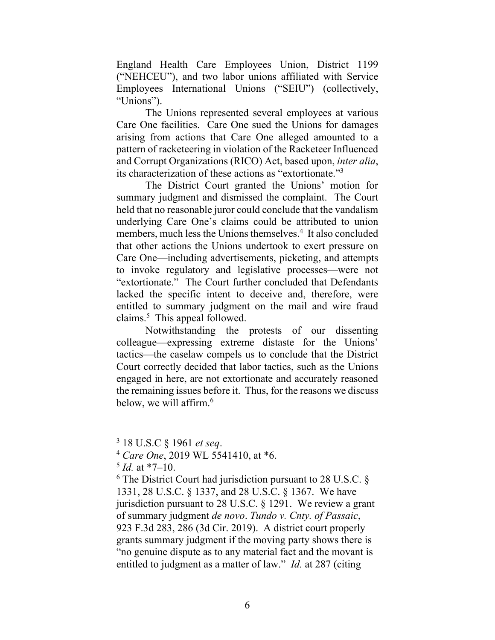England Health Care Employees Union, District 1199 ("NEHCEU"), and two labor unions affiliated with Service Employees International Unions ("SEIU") (collectively, "Unions").

The Unions represented several employees at various Care One facilities. Care One sued the Unions for damages arising from actions that Care One alleged amounted to a pattern of racketeering in violation of the Racketeer Influenced and Corrupt Organizations (RICO) Act, based upon, *inter alia*, its characterization of these actions as "extortionate."<sup>3</sup>

The District Court granted the Unions' motion for summary judgment and dismissed the complaint. The Court held that no reasonable juror could conclude that the vandalism underlying Care One's claims could be attributed to union members, much less the Unions themselves.<sup>4</sup> It also concluded that other actions the Unions undertook to exert pressure on Care One—including advertisements, picketing, and attempts to invoke regulatory and legislative processes—were not "extortionate." The Court further concluded that Defendants lacked the specific intent to deceive and, therefore, were entitled to summary judgment on the mail and wire fraud claims. 5 This appeal followed.

Notwithstanding the protests of our dissenting colleague—expressing extreme distaste for the Unions' tactics—the caselaw compels us to conclude that the District Court correctly decided that labor tactics, such as the Unions engaged in here, are not extortionate and accurately reasoned the remaining issues before it. Thus, for the reasons we discuss below, we will affirm.<sup>6</sup>

<sup>3</sup> 18 U.S.C § 1961 *et seq*.

<sup>4</sup> *Care One*, 2019 WL 5541410, at \*6.

 $<sup>5</sup>$  *Id.* at \*7–10.</sup>

 $6$  The District Court had jurisdiction pursuant to 28 U.S.C.  $\S$ 1331, 28 U.S.C. § 1337, and 28 U.S.C. § 1367. We have jurisdiction pursuant to 28 U.S.C. § 1291. We review a grant of summary judgment *de novo*. *Tundo v. Cnty. of Passaic*, 923 F.3d 283, 286 (3d Cir. 2019). A district court properly grants summary judgment if the moving party shows there is "no genuine dispute as to any material fact and the movant is entitled to judgment as a matter of law." *Id.* at 287 (citing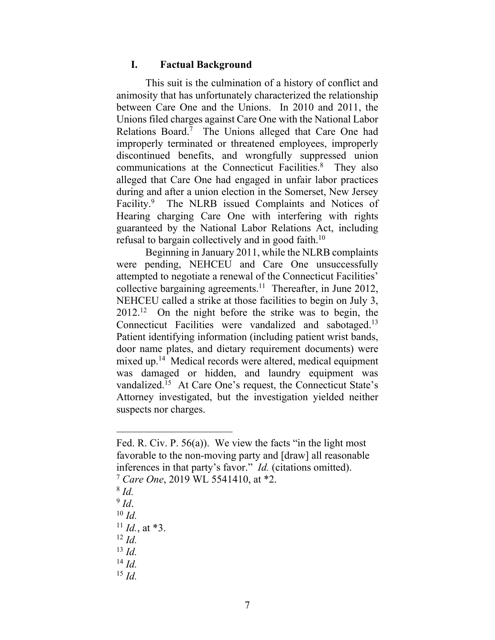#### **I. Factual Background**

This suit is the culmination of a history of conflict and animosity that has unfortunately characterized the relationship between Care One and the Unions. In 2010 and 2011, the Unions filed charges against Care One with the National Labor Relations Board.<sup>7</sup> The Unions alleged that Care One had improperly terminated or threatened employees, improperly discontinued benefits, and wrongfully suppressed union communications at the Connecticut Facilities. 8 They also alleged that Care One had engaged in unfair labor practices during and after a union election in the Somerset, New Jersey Facility.<sup>9</sup> The NLRB issued Complaints and Notices of Hearing charging Care One with interfering with rights guaranteed by the National Labor Relations Act, including refusal to bargain collectively and in good faith.<sup>10</sup>

Beginning in January 2011, while the NLRB complaints were pending, NEHCEU and Care One unsuccessfully attempted to negotiate a renewal of the Connecticut Facilities' collective bargaining agreements. 11 Thereafter, in June 2012, NEHCEU called a strike at those facilities to begin on July 3,  $2012<sup>12</sup>$  On the night before the strike was to begin, the Connecticut Facilities were vandalized and sabotaged.<sup>13</sup> Patient identifying information (including patient wrist bands, door name plates, and dietary requirement documents) were mixed up.<sup>14</sup> Medical records were altered, medical equipment was damaged or hidden, and laundry equipment was vandalized.<sup>15</sup> At Care One's request, the Connecticut State's Attorney investigated, but the investigation yielded neither suspects nor charges.

- 8 *Id.*
- 9 *Id*.
- <sup>10</sup> *Id.*

- <sup>12</sup> *Id.*
- <sup>13</sup> *Id.*
- <sup>14</sup> *Id.*
- <sup>15</sup> *Id.*

Fed. R. Civ. P. 56(a)). We view the facts "in the light most favorable to the non-moving party and [draw] all reasonable inferences in that party's favor." *Id.* (citations omitted).

<sup>7</sup> *Care One*, 2019 WL 5541410, at \*2.

 $^{11}$  *Id.*, at \*3.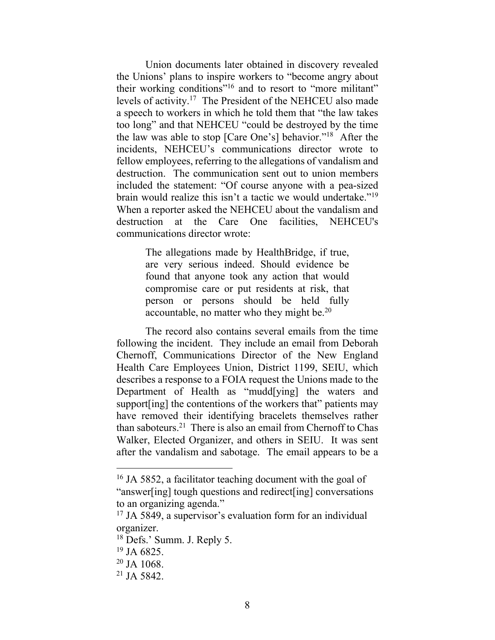Union documents later obtained in discovery revealed the Unions' plans to inspire workers to "become angry about their working conditions"<sup>16</sup> and to resort to "more militant" levels of activity.<sup>17</sup> The President of the NEHCEU also made a speech to workers in which he told them that "the law takes too long" and that NEHCEU "could be destroyed by the time the law was able to stop [Care One's] behavior."<sup>18</sup> After the incidents, NEHCEU's communications director wrote to fellow employees, referring to the allegations of vandalism and destruction. The communication sent out to union members included the statement: "Of course anyone with a pea-sized brain would realize this isn't a tactic we would undertake."<sup>19</sup> When a reporter asked the NEHCEU about the vandalism and destruction at the Care One facilities, NEHCEU's communications director wrote:

> The allegations made by HealthBridge, if true, are very serious indeed. Should evidence be found that anyone took any action that would compromise care or put residents at risk, that person or persons should be held fully accountable, no matter who they might be.<sup>20</sup>

The record also contains several emails from the time following the incident. They include an email from Deborah Chernoff, Communications Director of the New England Health Care Employees Union, District 1199, SEIU, which describes a response to a FOIA request the Unions made to the Department of Health as "mudd[ying] the waters and support[ing] the contentions of the workers that" patients may have removed their identifying bracelets themselves rather than saboteurs.<sup>21</sup> There is also an email from Chernoff to Chas Walker, Elected Organizer, and others in SEIU. It was sent after the vandalism and sabotage. The email appears to be a

<sup>&</sup>lt;sup>16</sup> JA 5852, a facilitator teaching document with the goal of "answer[ing] tough questions and redirect[ing] conversations to an organizing agenda."

<sup>&</sup>lt;sup>17</sup> JA 5849, a supervisor's evaluation form for an individual organizer.

<sup>18</sup> Defs.' Summ. J. Reply 5.

 $19$  JA 6825.

 $20$  JA 1068.

 $21$  JA 5842.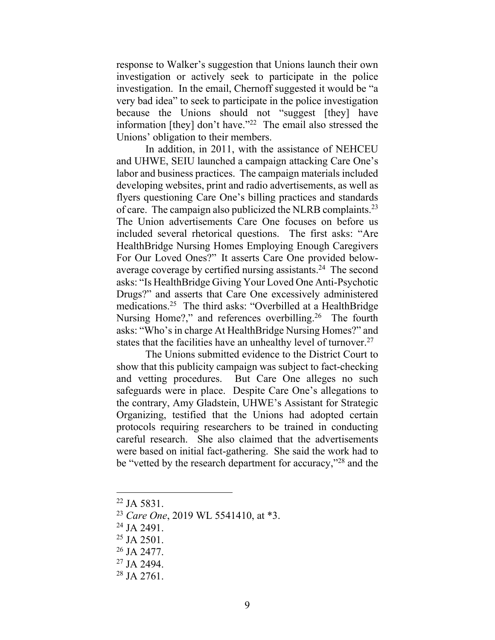response to Walker's suggestion that Unions launch their own investigation or actively seek to participate in the police investigation. In the email, Chernoff suggested it would be "a very bad idea" to seek to participate in the police investigation because the Unions should not "suggest [they] have information [they] don't have."<sup>22</sup> The email also stressed the Unions' obligation to their members.

In addition, in 2011, with the assistance of NEHCEU and UHWE, SEIU launched a campaign attacking Care One's labor and business practices. The campaign materials included developing websites, print and radio advertisements, as well as flyers questioning Care One's billing practices and standards of care. The campaign also publicized the NLRB complaints.<sup>23</sup> The Union advertisements Care One focuses on before us included several rhetorical questions. The first asks: "Are HealthBridge Nursing Homes Employing Enough Caregivers For Our Loved Ones?" It asserts Care One provided belowaverage coverage by certified nursing assistants. <sup>24</sup> The second asks: "Is HealthBridge Giving Your Loved One Anti-Psychotic Drugs?" and asserts that Care One excessively administered medications. <sup>25</sup> The third asks: "Overbilled at a HealthBridge Nursing Home?," and references overbilling.<sup>26</sup> The fourth asks: "Who's in charge At HealthBridge Nursing Homes?" and states that the facilities have an unhealthy level of turnover.<sup>27</sup>

The Unions submitted evidence to the District Court to show that this publicity campaign was subject to fact-checking and vetting procedures. But Care One alleges no such safeguards were in place. Despite Care One's allegations to the contrary, Amy Gladstein, UHWE's Assistant for Strategic Organizing, testified that the Unions had adopted certain protocols requiring researchers to be trained in conducting careful research. She also claimed that the advertisements were based on initial fact-gathering. She said the work had to be "vetted by the research department for accuracy,"<sup>28</sup> and the

 $22$  JA 5831.

<sup>23</sup> *Care One*, 2019 WL 5541410, at \*3.

<sup>&</sup>lt;sup>24</sup> JA 2491.

 $25$  JA 2501.

<sup>26</sup> JA 2477.

<sup>27</sup> JA 2494.

<sup>28</sup> JA 2761.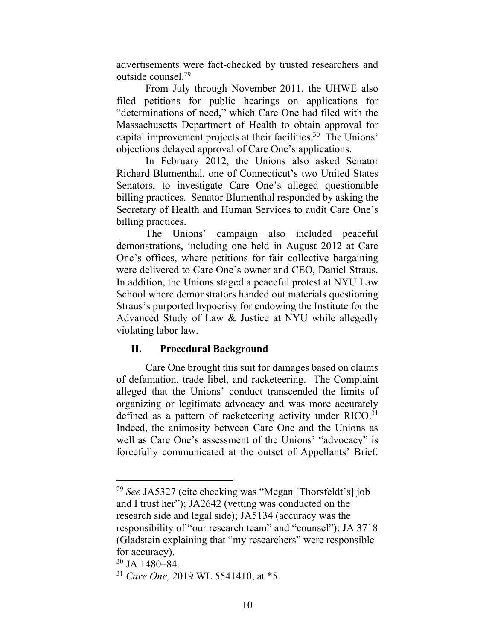advertisements were fact-checked by trusted researchers and outside counsel.<sup>29</sup>

From July through November 2011, the UHWE also filed petitions for public hearings on applications for "determinations of need," which Care One had filed with the Massachusetts Department of Health to obtain approval for capital improvement projects at their facilities.<sup>30</sup> The Unions' objections delayed approval of Care One's applications.

In February 2012, the Unions also asked Senator Richard Blumenthal, one of Connecticut's two United States Senators, to investigate Care One's alleged questionable billing practices. Senator Blumenthal responded by asking the Secretary of Health and Human Services to audit Care One's billing practices.

The Unions' campaign also included peaceful demonstrations, including one held in August 2012 at Care One's offices, where petitions for fair collective bargaining were delivered to Care One's owner and CEO, Daniel Straus. In addition, the Unions staged a peaceful protest at NYU Law School where demonstrators handed out materials questioning Straus's purported hypocrisy for endowing the Institute for the Advanced Study of Law & Justice at NYU while allegedly violating labor law.

# **II. Procedural Background**

Care One brought this suit for damages based on claims of defamation, trade libel, and racketeering. The Complaint alleged that the Unions' conduct transcended the limits of organizing or legitimate advocacy and was more accurately defined as a pattern of racketeering activity under RICO.<sup>31</sup> Indeed, the animosity between Care One and the Unions as well as Care One's assessment of the Unions' "advocacy" is forcefully communicated at the outset of Appellants' Brief.

<sup>29</sup> *See* JA5327 (cite checking was "Megan [Thorsfeldt's] job and I trust her"); JA2642 (vetting was conducted on the research side and legal side); JA5134 (accuracy was the responsibility of "our research team" and "counsel"); JA 3718 (Gladstein explaining that "my researchers" were responsible for accuracy).

<sup>30</sup> JA 1480–84.

<sup>31</sup> *Care One,* 2019 WL 5541410, at \*5.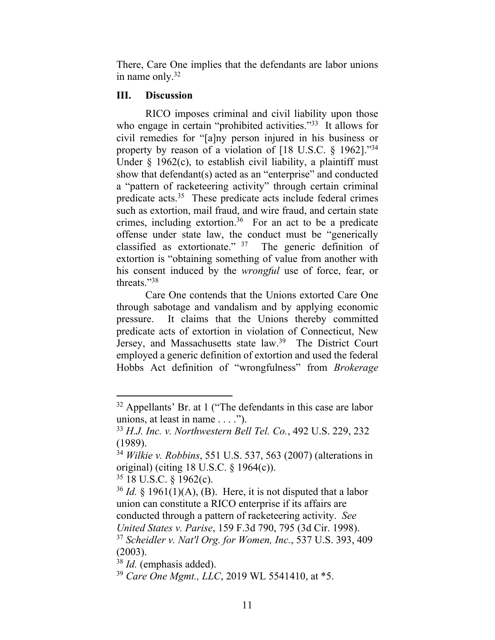There, Care One implies that the defendants are labor unions in name only. $32$ 

# **III. Discussion**

RICO imposes criminal and civil liability upon those who engage in certain "prohibited activities."<sup>33</sup> It allows for civil remedies for "[a]ny person injured in his business or property by reason of a violation of  $[18 \text{ U.S.C. } § 1962]$ ."34 Under  $\S$  1962(c), to establish civil liability, a plaintiff must show that defendant(s) acted as an "enterprise" and conducted a "pattern of racketeering activity" through certain criminal predicate acts.<sup>35</sup> These predicate acts include federal crimes such as extortion, mail fraud, and wire fraud, and certain state crimes, including extortion. <sup>36</sup> For an act to be a predicate offense under state law, the conduct must be "generically classified as extortionate."  $37$  The generic definition of extortion is "obtaining something of value from another with his consent induced by the *wrongful* use of force, fear, or threats."<sup>38</sup>

Care One contends that the Unions extorted Care One through sabotage and vandalism and by applying economic pressure. It claims that the Unions thereby committed predicate acts of extortion in violation of Connecticut, New Jersey, and Massachusetts state law.<sup>39</sup> The District Court employed a generic definition of extortion and used the federal Hobbs Act definition of "wrongfulness" from *Brokerage* 

<sup>32</sup> Appellants' Br. at 1 ("The defendants in this case are labor unions, at least in name  $\dots$ .").

<sup>33</sup> *H.J. Inc. v. Northwestern Bell Tel. Co.*, 492 U.S. 229, 232 (1989).

<sup>34</sup> *Wilkie v. Robbins*, 551 U.S. 537, 563 (2007) (alterations in original) (citing 18 U.S.C. § 1964(c)).

<sup>35</sup> 18 U.S.C. § 1962(c).

 $36$  *Id.* § 1961(1)(A), (B). Here, it is not disputed that a labor union can constitute a RICO enterprise if its affairs are conducted through a pattern of racketeering activity. *See United States v. Parise*, 159 F.3d 790, 795 (3d Cir. 1998). <sup>37</sup> *Scheidler v. Nat'l Org. for Women, Inc.*, 537 U.S. 393, 409 (2003).

<sup>38</sup> *Id.* (emphasis added).

<sup>39</sup> *Care One Mgmt., LLC*, 2019 WL 5541410, at \*5.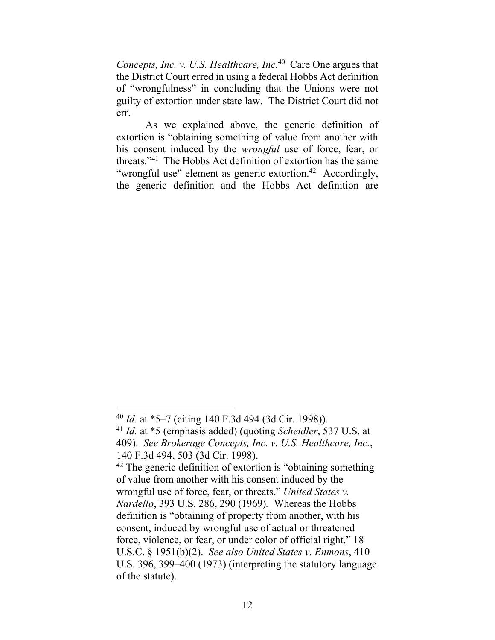*Concepts, Inc. v. U.S. Healthcare, Inc.*<sup>40</sup> Care One argues that the District Court erred in using a federal Hobbs Act definition of "wrongfulness" in concluding that the Unions were not guilty of extortion under state law. The District Court did not err.

As we explained above, the generic definition of extortion is "obtaining something of value from another with his consent induced by the *wrongful* use of force, fear, or threats."<sup>41</sup> The Hobbs Act definition of extortion has the same "wrongful use" element as generic extortion.<sup>42</sup> Accordingly, the generic definition and the Hobbs Act definition are

<sup>40</sup> *Id.* at \*5–7 (citing 140 F.3d 494 (3d Cir. 1998)).

<sup>41</sup> *Id.* at \*5 (emphasis added) (quoting *Scheidler*, 537 U.S. at 409). *See Brokerage Concepts, Inc. v. U.S. Healthcare, Inc.*, 140 F.3d 494, 503 (3d Cir. 1998).

<sup>&</sup>lt;sup>42</sup> The generic definition of extortion is "obtaining something" of value from another with his consent induced by the wrongful use of force, fear, or threats." *United States v. Nardello*, 393 U.S. 286, 290 (1969)*.* Whereas the Hobbs definition is "obtaining of property from another, with his consent, induced by wrongful use of actual or threatened force, violence, or fear, or under color of official right." 18 U.S.C. § 1951(b)(2). *See also United States v. Enmons*, 410 U.S. 396, 399–400 (1973) (interpreting the statutory language of the statute).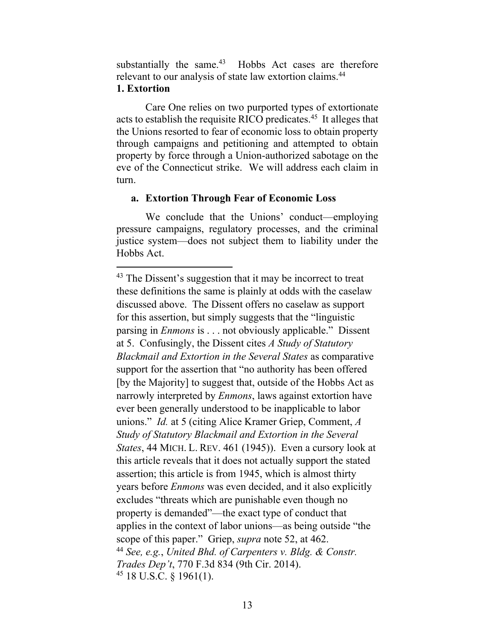substantially the same.<sup>43</sup> Hobbs Act cases are therefore relevant to our analysis of state law extortion claims.<sup>44</sup>

### **1. Extortion**

Care One relies on two purported types of extortionate acts to establish the requisite RICO predicates.<sup>45</sup> It alleges that the Unions resorted to fear of economic loss to obtain property through campaigns and petitioning and attempted to obtain property by force through a Union-authorized sabotage on the eve of the Connecticut strike. We will address each claim in turn.

## **a. Extortion Through Fear of Economic Loss**

We conclude that the Unions' conduct—employing pressure campaigns, regulatory processes, and the criminal justice system—does not subject them to liability under the Hobbs Act.

 $43$  The Dissent's suggestion that it may be incorrect to treat these definitions the same is plainly at odds with the caselaw discussed above. The Dissent offers no caselaw as support for this assertion, but simply suggests that the "linguistic parsing in *Enmons* is . . . not obviously applicable." Dissent at 5. Confusingly, the Dissent cites *A Study of Statutory Blackmail and Extortion in the Several States* as comparative support for the assertion that "no authority has been offered [by the Majority] to suggest that, outside of the Hobbs Act as narrowly interpreted by *Enmons*, laws against extortion have ever been generally understood to be inapplicable to labor unions." *Id.* at 5 (citing Alice Kramer Griep, Comment, *A Study of Statutory Blackmail and Extortion in the Several States*, 44 MICH. L. REV. 461 (1945)). Even a cursory look at this article reveals that it does not actually support the stated assertion; this article is from 1945, which is almost thirty years before *Enmons* was even decided, and it also explicitly excludes "threats which are punishable even though no property is demanded"—the exact type of conduct that applies in the context of labor unions—as being outside "the scope of this paper." Griep, *supra* note 52, at 462. <sup>44</sup> *See, e.g.*, *United Bhd. of Carpenters v. Bldg. & Constr. Trades Dep't*, 770 F.3d 834 (9th Cir. 2014). <sup>45</sup> 18 U.S.C. § 1961(1).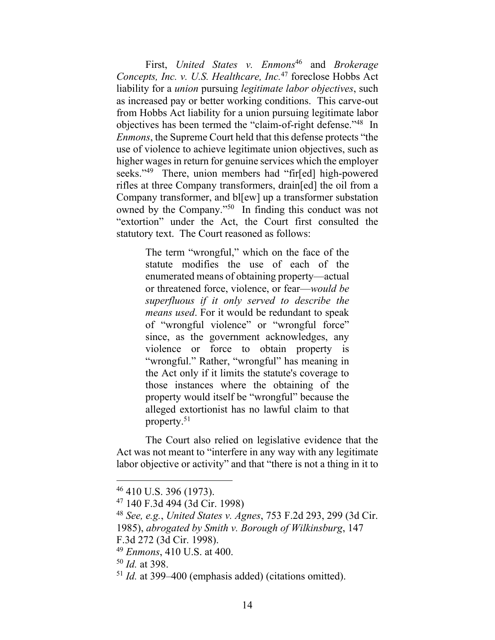First, *United States v. Enmons<sup>46</sup>* and *Brokerage Concepts, Inc. v. U.S. Healthcare, Inc.*<sup>47</sup> foreclose Hobbs Act liability for a *union* pursuing *legitimate labor objectives*, such as increased pay or better working conditions. This carve-out from Hobbs Act liability for a union pursuing legitimate labor objectives has been termed the "claim-of-right defense."<sup>48</sup> In *Enmons*, the Supreme Court held that this defense protects "the use of violence to achieve legitimate union objectives, such as higher wages in return for genuine services which the employer seeks."<sup>49</sup> There, union members had "fir[ed] high-powered rifles at three Company transformers, drain[ed] the oil from a Company transformer, and bl[ew] up a transformer substation owned by the Company."<sup>50</sup> In finding this conduct was not "extortion" under the Act, the Court first consulted the statutory text. The Court reasoned as follows:

> The term "wrongful," which on the face of the statute modifies the use of each of the enumerated means of obtaining property—actual or threatened force, violence, or fear—*would be superfluous if it only served to describe the means used*. For it would be redundant to speak of "wrongful violence" or "wrongful force" since, as the government acknowledges, any violence or force to obtain property is "wrongful." Rather, "wrongful" has meaning in the Act only if it limits the statute's coverage to those instances where the obtaining of the property would itself be "wrongful" because the alleged extortionist has no lawful claim to that property.<sup>51</sup>

The Court also relied on legislative evidence that the Act was not meant to "interfere in any way with any legitimate labor objective or activity" and that "there is not a thing in it to

<sup>46</sup> 410 U.S. 396 (1973).

<sup>47</sup> 140 F.3d 494 (3d Cir. 1998)

<sup>48</sup> *See, e.g.*, *United States v. Agnes*, 753 F.2d 293, 299 (3d Cir.

<sup>1985),</sup> *abrogated by Smith v. Borough of Wilkinsburg*, 147

F.3d 272 (3d Cir. 1998).

<sup>49</sup> *Enmons*, 410 U.S. at 400.

<sup>50</sup> *Id.* at 398.

<sup>51</sup> *Id.* at 399–400 (emphasis added) (citations omitted).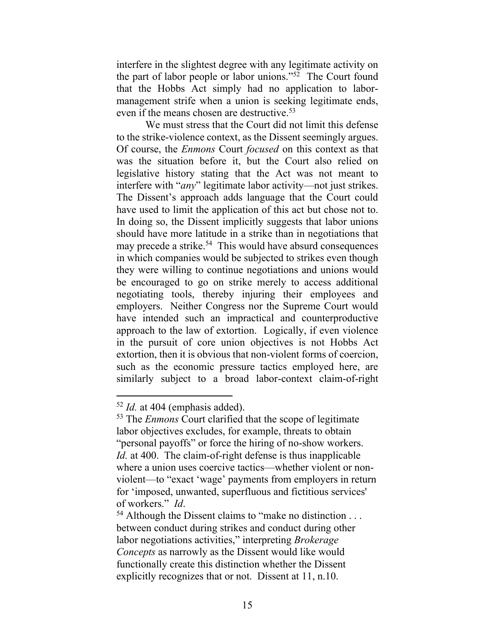interfere in the slightest degree with any legitimate activity on the part of labor people or labor unions."<sup>52</sup> The Court found that the Hobbs Act simply had no application to labormanagement strife when a union is seeking legitimate ends, even if the means chosen are destructive.<sup>53</sup>

We must stress that the Court did not limit this defense to the strike-violence context, as the Dissent seemingly argues. Of course, the *Enmons* Court *focused* on this context as that was the situation before it, but the Court also relied on legislative history stating that the Act was not meant to interfere with "*any*" legitimate labor activity—not just strikes. The Dissent's approach adds language that the Court could have used to limit the application of this act but chose not to. In doing so, the Dissent implicitly suggests that labor unions should have more latitude in a strike than in negotiations that may precede a strike.<sup>54</sup> This would have absurd consequences in which companies would be subjected to strikes even though they were willing to continue negotiations and unions would be encouraged to go on strike merely to access additional negotiating tools, thereby injuring their employees and employers. Neither Congress nor the Supreme Court would have intended such an impractical and counterproductive approach to the law of extortion. Logically, if even violence in the pursuit of core union objectives is not Hobbs Act extortion, then it is obvious that non-violent forms of coercion, such as the economic pressure tactics employed here, are similarly subject to a broad labor-context claim-of-right

<sup>52</sup> *Id.* at 404 (emphasis added).

<sup>53</sup> The *Enmons* Court clarified that the scope of legitimate labor objectives excludes, for example, threats to obtain "personal payoffs" or force the hiring of no-show workers. *Id.* at 400. The claim-of-right defense is thus inapplicable where a union uses coercive tactics—whether violent or nonviolent—to "exact 'wage' payments from employers in return for 'imposed, unwanted, superfluous and fictitious services' of workers." *Id*.

 $54$  Although the Dissent claims to "make no distinction . . . between conduct during strikes and conduct during other labor negotiations activities," interpreting *Brokerage Concepts* as narrowly as the Dissent would like would functionally create this distinction whether the Dissent explicitly recognizes that or not. Dissent at 11, n.10.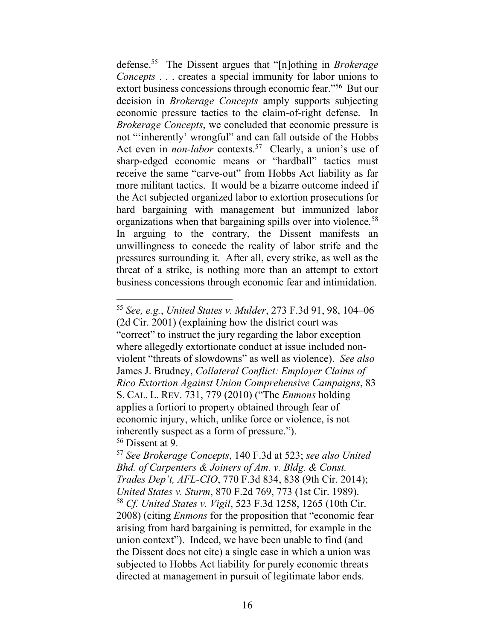defense.<sup>55</sup> The Dissent argues that "[n]othing in *Brokerage Concepts* . . . creates a special immunity for labor unions to extort business concessions through economic fear."<sup>56</sup> But our decision in *Brokerage Concepts* amply supports subjecting economic pressure tactics to the claim-of-right defense. In *Brokerage Concepts*, we concluded that economic pressure is not "'inherently' wrongful" and can fall outside of the Hobbs Act even in *non-labor* contexts. 57 Clearly, a union's use of sharp-edged economic means or "hardball" tactics must receive the same "carve-out" from Hobbs Act liability as far more militant tactics. It would be a bizarre outcome indeed if the Act subjected organized labor to extortion prosecutions for hard bargaining with management but immunized labor organizations when that bargaining spills over into violence*.* 58 In arguing to the contrary, the Dissent manifests an unwillingness to concede the reality of labor strife and the pressures surrounding it. After all, every strike, as well as the threat of a strike, is nothing more than an attempt to extort business concessions through economic fear and intimidation.

<sup>55</sup> *See, e.g.*, *United States v. Mulder*, 273 F.3d 91, 98, 104–06 (2d Cir. 2001) (explaining how the district court was "correct" to instruct the jury regarding the labor exception where allegedly extortionate conduct at issue included nonviolent "threats of slowdowns" as well as violence). *See also* James J. Brudney, *Collateral Conflict: Employer Claims of Rico Extortion Against Union Comprehensive Campaigns*, 83 S. CAL. L. REV. 731, 779 (2010) ("The *Enmons* holding applies a fortiori to property obtained through fear of economic injury, which, unlike force or violence, is not inherently suspect as a form of pressure."). <sup>56</sup> Dissent at 9.

<sup>57</sup> *See Brokerage Concepts*, 140 F.3d at 523; *see also United Bhd. of Carpenters & Joiners of Am. v. Bldg. & Const. Trades Dep't, AFL-CIO*, 770 F.3d 834, 838 (9th Cir. 2014); *United States v. Sturm*, 870 F.2d 769, 773 (1st Cir. 1989). <sup>58</sup> *Cf. United States v. Vigil*, 523 F.3d 1258, 1265 (10th Cir. 2008) (citing *Enmons* for the proposition that "economic fear arising from hard bargaining is permitted, for example in the union context"). Indeed, we have been unable to find (and the Dissent does not cite) a single case in which a union was subjected to Hobbs Act liability for purely economic threats directed at management in pursuit of legitimate labor ends.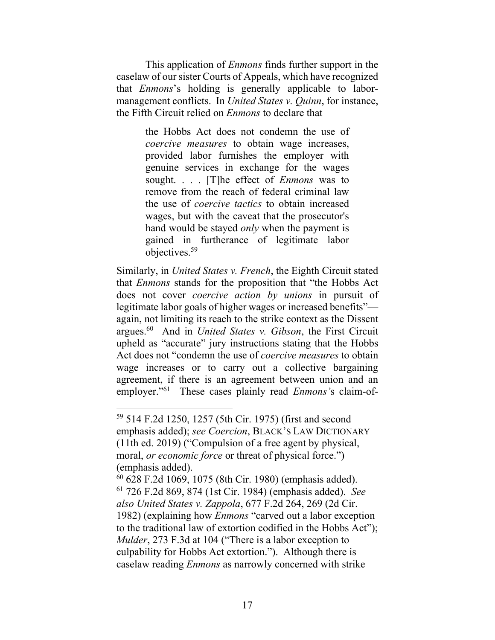This application of *Enmons* finds further support in the caselaw of our sister Courts of Appeals, which have recognized that *Enmons*'s holding is generally applicable to labormanagement conflicts. In *United States v. Quinn*, for instance, the Fifth Circuit relied on *Enmons* to declare that

> the Hobbs Act does not condemn the use of *coercive measures* to obtain wage increases, provided labor furnishes the employer with genuine services in exchange for the wages sought. . . . [T]he effect of *Enmons* was to remove from the reach of federal criminal law the use of *coercive tactics* to obtain increased wages, but with the caveat that the prosecutor's hand would be stayed *only* when the payment is gained in furtherance of legitimate labor objectives.<sup>59</sup>

Similarly, in *United States v. French*, the Eighth Circuit stated that *Enmons* stands for the proposition that "the Hobbs Act does not cover *coercive action by unions* in pursuit of legitimate labor goals of higher wages or increased benefits" again, not limiting its reach to the strike context as the Dissent argues.<sup>60</sup> And in *United States v. Gibson*, the First Circuit upheld as "accurate" jury instructions stating that the Hobbs Act does not "condemn the use of *coercive measures* to obtain wage increases or to carry out a collective bargaining agreement, if there is an agreement between union and an employer." <sup>61</sup> These cases plainly read *Enmons'*s claim-of-

<sup>59</sup> 514 F.2d 1250, 1257 (5th Cir. 1975) (first and second emphasis added); *see Coercion*, BLACK'S LAW DICTIONARY (11th ed. 2019) ("Compulsion of a free agent by physical, moral, *or economic force* or threat of physical force.") (emphasis added).

<sup>60</sup> 628 F.2d 1069, 1075 (8th Cir. 1980) (emphasis added). <sup>61</sup> 726 F.2d 869, 874 (1st Cir. 1984) (emphasis added). *See also United States v. Zappola*, 677 F.2d 264, 269 (2d Cir. 1982) (explaining how *Enmons* "carved out a labor exception to the traditional law of extortion codified in the Hobbs Act"); *Mulder*, 273 F.3d at 104 ("There is a labor exception to culpability for Hobbs Act extortion."). Although there is caselaw reading *Enmons* as narrowly concerned with strike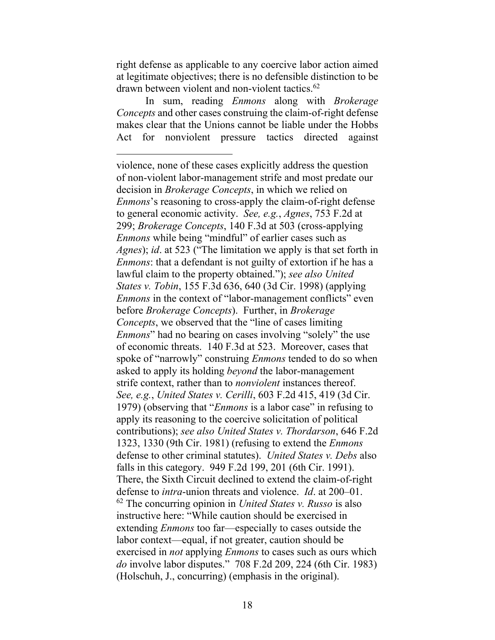right defense as applicable to any coercive labor action aimed at legitimate objectives; there is no defensible distinction to be drawn between violent and non-violent tactics. 62

In sum, reading *Enmons* along with *Brokerage Concepts* and other cases construing the claim-of-right defense makes clear that the Unions cannot be liable under the Hobbs Act for nonviolent pressure tactics directed against

violence, none of these cases explicitly address the question of non-violent labor-management strife and most predate our decision in *Brokerage Concepts*, in which we relied on *Enmons*'s reasoning to cross-apply the claim-of-right defense to general economic activity. *See, e.g.*, *Agnes*, 753 F.2d at 299; *Brokerage Concepts*, 140 F.3d at 503 (cross-applying *Enmons* while being "mindful" of earlier cases such as *Agnes*); *id*. at 523 ("The limitation we apply is that set forth in *Enmons*: that a defendant is not guilty of extortion if he has a lawful claim to the property obtained."); *see also United States v. Tobin*, 155 F.3d 636, 640 (3d Cir. 1998) (applying *Enmons* in the context of "labor-management conflicts" even before *Brokerage Concepts*). Further, in *Brokerage Concepts*, we observed that the "line of cases limiting *Enmons*" had no bearing on cases involving "solely" the use of economic threats. 140 F.3d at 523. Moreover, cases that spoke of "narrowly" construing *Enmons* tended to do so when asked to apply its holding *beyond* the labor-management strife context, rather than to *nonviolent* instances thereof. *See, e.g.*, *United States v. Cerilli*, 603 F.2d 415, 419 (3d Cir. 1979) (observing that "*Enmons* is a labor case" in refusing to apply its reasoning to the coercive solicitation of political contributions); *see also United States v. Thordarson*, 646 F.2d 1323, 1330 (9th Cir. 1981) (refusing to extend the *Enmons* defense to other criminal statutes). *United States v. Debs* also falls in this category. 949 F.2d 199, 201 (6th Cir. 1991). There, the Sixth Circuit declined to extend the claim-of-right defense to *intra*-union threats and violence. *Id*. at 200–01. <sup>62</sup> The concurring opinion in *United States v. Russo* is also instructive here: "While caution should be exercised in extending *Enmons* too far—especially to cases outside the labor context—equal, if not greater, caution should be exercised in *not* applying *Enmons* to cases such as ours which *do* involve labor disputes." 708 F.2d 209, 224 (6th Cir. 1983) (Holschuh, J., concurring) (emphasis in the original).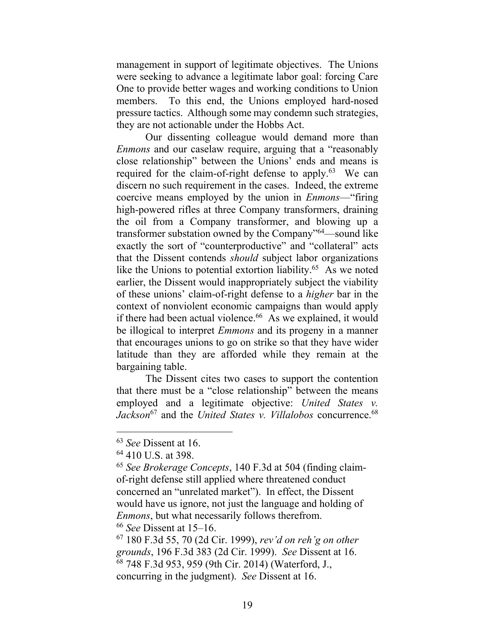management in support of legitimate objectives. The Unions were seeking to advance a legitimate labor goal: forcing Care One to provide better wages and working conditions to Union members. To this end, the Unions employed hard-nosed pressure tactics. Although some may condemn such strategies, they are not actionable under the Hobbs Act.

Our dissenting colleague would demand more than *Enmons* and our caselaw require, arguing that a "reasonably close relationship" between the Unions' ends and means is required for the claim-of-right defense to apply.<sup>63</sup> We can discern no such requirement in the cases. Indeed, the extreme coercive means employed by the union in *Enmons*—"firing high-powered rifles at three Company transformers, draining the oil from a Company transformer, and blowing up a transformer substation owned by the Company"<sup>64</sup>—sound like exactly the sort of "counterproductive" and "collateral" acts that the Dissent contends *should* subject labor organizations like the Unions to potential extortion liability. $65$  As we noted earlier, the Dissent would inappropriately subject the viability of these unions' claim-of-right defense to a *higher* bar in the context of nonviolent economic campaigns than would apply if there had been actual violence.<sup>66</sup> As we explained, it would be illogical to interpret *Emmons* and its progeny in a manner that encourages unions to go on strike so that they have wider latitude than they are afforded while they remain at the bargaining table.

The Dissent cites two cases to support the contention that there must be a "close relationship" between the means employed and a legitimate objective: *United States v. Jackson*<sup>67</sup> and the *United States v. Villalobos* concurrence. 68

<sup>66</sup> *See* Dissent at 15–16.

<sup>63</sup> *See* Dissent at 16.

<sup>64</sup> 410 U.S. at 398.

<sup>65</sup> *See Brokerage Concepts*, 140 F.3d at 504 (finding claimof-right defense still applied where threatened conduct concerned an "unrelated market"). In effect, the Dissent would have us ignore, not just the language and holding of *Enmons*, but what necessarily follows therefrom.

<sup>67</sup> 180 F.3d 55, 70 (2d Cir. 1999), *rev'd on reh'g on other grounds*, 196 F.3d 383 (2d Cir. 1999). *See* Dissent at 16. <sup>68</sup> 748 F.3d 953, 959 (9th Cir. 2014) (Waterford, J., concurring in the judgment). *See* Dissent at 16.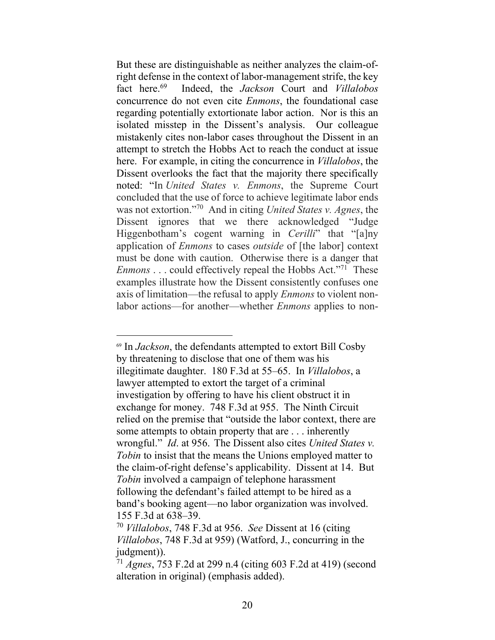But these are distinguishable as neither analyzes the claim-ofright defense in the context of labor-management strife, the key fact here.<sup>69</sup> Indeed, the *Jackson* Court and *Villalobos* concurrence do not even cite *Enmons*, the foundational case regarding potentially extortionate labor action. Nor is this an isolated misstep in the Dissent's analysis. Our colleague mistakenly cites non-labor cases throughout the Dissent in an attempt to stretch the Hobbs Act to reach the conduct at issue here. For example, in citing the concurrence in *Villalobos*, the Dissent overlooks the fact that the majority there specifically noted: "In *United States v. Enmons*, the Supreme Court concluded that the use of force to achieve legitimate labor ends was not extortion." <sup>70</sup> And in citing *United States v. Agnes*, the Dissent ignores that we there acknowledged "Judge Higgenbotham's cogent warning in *Cerilli*" that "[a]ny application of *Enmons* to cases *outside* of [the labor] context must be done with caution. Otherwise there is a danger that *Enmons* . . . could effectively repeal the Hobbs Act."<sup>71</sup> These examples illustrate how the Dissent consistently confuses one axis of limitation—the refusal to apply *Enmons* to violent nonlabor actions—for another—whether *Enmons* applies to non-

<sup>69</sup> In *Jackson*, the defendants attempted to extort Bill Cosby by threatening to disclose that one of them was his illegitimate daughter. 180 F.3d at 55–65. In *Villalobos*, a lawyer attempted to extort the target of a criminal investigation by offering to have his client obstruct it in exchange for money. 748 F.3d at 955. The Ninth Circuit relied on the premise that "outside the labor context, there are some attempts to obtain property that are . . . inherently wrongful." *Id*. at 956. The Dissent also cites *United States v. Tobin* to insist that the means the Unions employed matter to the claim-of-right defense's applicability. Dissent at 14. But *Tobin* involved a campaign of telephone harassment following the defendant's failed attempt to be hired as a band's booking agent—no labor organization was involved. 155 F.3d at 638–39.

<sup>70</sup> *[Villalobos](https://plus.lexis.com/api/document/collection/cases/id/5BYD-VCX1-F04K-V019-00000-00?cite=748%20F.3d%20953&context=1530671)*, 748 F.3d at 956. *See* Dissent at 16 (citing *Villalobos*, 748 F.3d at 959) (Watford, J., concurring in the judgment)).

<sup>71</sup> *Agnes*, 753 F.2d at 299 n.4 (citing 603 F.2d at 419) (second alteration in original) (emphasis added).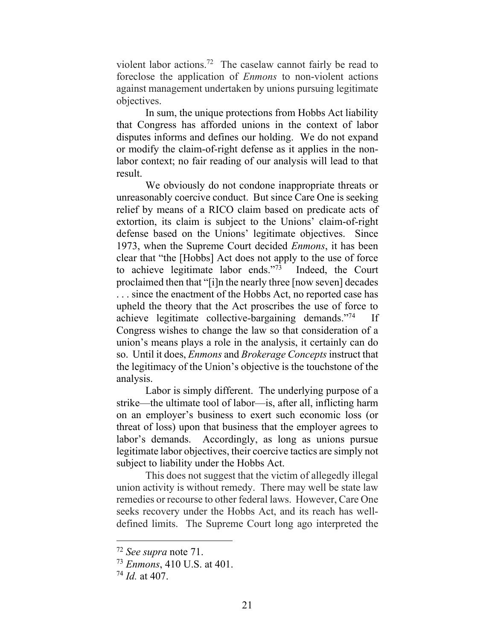violent labor actions.<sup>72</sup> The caselaw cannot fairly be read to foreclose the application of *Enmons* to non-violent actions against management undertaken by unions pursuing legitimate objectives.

In sum, the unique protections from Hobbs Act liability that Congress has afforded unions in the context of labor disputes informs and defines our holding. We do not expand or modify the claim-of-right defense as it applies in the nonlabor context; no fair reading of our analysis will lead to that result.

We obviously do not condone inappropriate threats or unreasonably coercive conduct. But since Care One is seeking relief by means of a RICO claim based on predicate acts of extortion, its claim is subject to the Unions' claim-of-right defense based on the Unions' legitimate objectives. Since 1973, when the Supreme Court decided *Enmons*, it has been clear that "the [Hobbs] Act does not apply to the use of force to achieve legitimate labor ends."<sup>73</sup> Indeed, the Court proclaimed then that "[i]n the nearly three [now seven] decades . . . since the enactment of the Hobbs Act, no reported case has upheld the theory that the Act proscribes the use of force to achieve legitimate collective-bargaining demands."<sup>74</sup> If Congress wishes to change the law so that consideration of a union's means plays a role in the analysis, it certainly can do so. Until it does, *Enmons* and *Brokerage Concepts* instruct that the legitimacy of the Union's objective is the touchstone of the analysis.

Labor is simply different. The underlying purpose of a strike—the ultimate tool of labor—is, after all, inflicting harm on an employer's business to exert such economic loss (or threat of loss) upon that business that the employer agrees to labor's demands. Accordingly, as long as unions pursue legitimate labor objectives, their coercive tactics are simply not subject to liability under the Hobbs Act.

This does not suggest that the victim of allegedly illegal union activity is without remedy. There may well be state law remedies or recourse to other federal laws. However, Care One seeks recovery under the Hobbs Act, and its reach has welldefined limits. The Supreme Court long ago interpreted the

<sup>72</sup> *See supra* note 71.

<sup>73</sup> *Enmons*, 410 U.S. at 401.

<sup>74</sup> *Id.* at 407.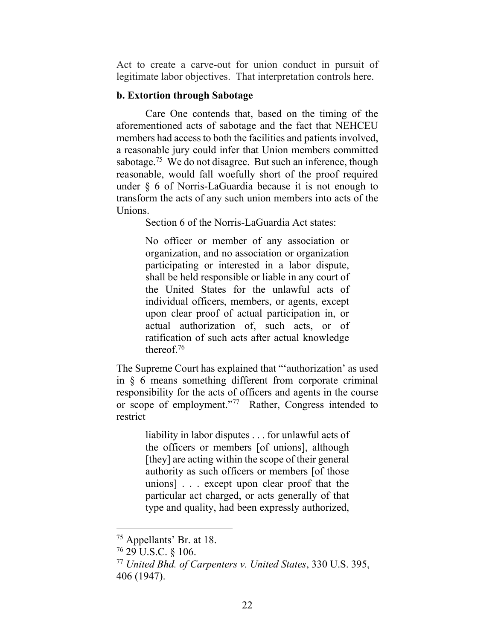Act to create a carve-out for union conduct in pursuit of legitimate labor objectives. That interpretation controls here.

#### **b. Extortion through Sabotage**

Care One contends that, based on the timing of the aforementioned acts of sabotage and the fact that NEHCEU members had access to both the facilities and patients involved, a reasonable jury could infer that Union members committed sabotage.<sup>75</sup> We do not disagree. But such an inference, though reasonable, would fall woefully short of the proof required under § 6 of Norris-LaGuardia because it is not enough to transform the acts of any such union members into acts of the Unions.

Section 6 of the Norris-LaGuardia Act states:

No officer or member of any association or organization, and no association or organization participating or interested in a labor dispute, shall be held responsible or liable in any court of the United States for the unlawful acts of individual officers, members, or agents, except upon clear proof of actual participation in, or actual authorization of, such acts, or of ratification of such acts after actual knowledge thereof.<sup>76</sup>

The Supreme Court has explained that "'authorization' as used in § 6 means something different from corporate criminal responsibility for the acts of officers and agents in the course or scope of employment."<sup>77</sup> Rather, Congress intended to restrict

> liability in labor disputes . . . for unlawful acts of the officers or members [of unions], although [they] are acting within the scope of their general authority as such officers or members [of those unions] . . . except upon clear proof that the particular act charged, or acts generally of that type and quality, had been expressly authorized,

<sup>75</sup> Appellants' Br. at 18.

<sup>76</sup> 29 U.S.C. § 106.

<sup>77</sup> *United Bhd. of Carpenters v. United States*, 330 U.S. 395, 406 (1947).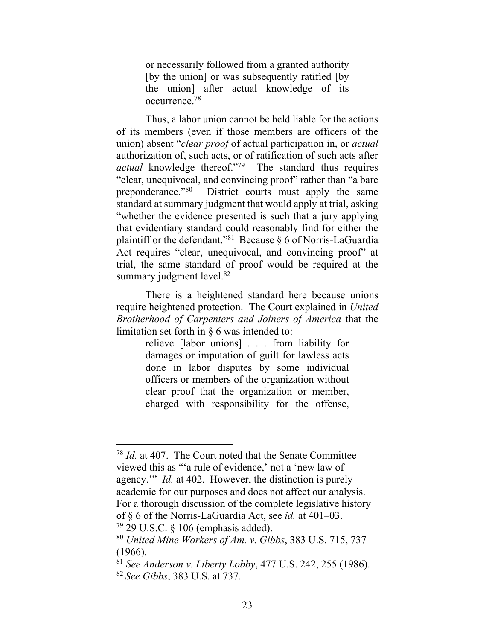or necessarily followed from a granted authority [by the union] or was subsequently ratified [by the union] after actual knowledge of its occurrence.<sup>78</sup>

Thus, a labor union cannot be held liable for the actions of its members (even if those members are officers of the union) absent "*clear proof* of actual participation in, or *actual* authorization of, such acts, or of ratification of such acts after *actual* knowledge thereof."<sup>79</sup> The standard thus requires "clear, unequivocal, and convincing proof" rather than "a bare preponderance."<sup>80</sup> District courts must apply the same standard at summary judgment that would apply at trial, asking "whether the evidence presented is such that a jury applying that evidentiary standard could reasonably find for either the plaintiff or the defendant."<sup>81</sup> Because  $\S$  6 of Norris-LaGuardia Act requires "clear, unequivocal, and convincing proof" at trial, the same standard of proof would be required at the summary judgment level. $82$ 

There is a heightened standard here because unions require heightened protection. The Court explained in *United Brotherhood of Carpenters and Joiners of America* that the limitation set forth in § 6 was intended to:

> relieve [labor unions] . . . from liability for damages or imputation of guilt for lawless acts done in labor disputes by some individual officers or members of the organization without clear proof that the organization or member, charged with responsibility for the offense,

<sup>78</sup> *Id.* at 407. The Court noted that the Senate Committee viewed this as "'a rule of evidence,' not a 'new law of agency.'" *Id.* at 402. However, the distinction is purely academic for our purposes and does not affect our analysis. For a thorough discussion of the complete legislative history of § 6 of the Norris-LaGuardia Act, see *id.* at 401–03.

 $79$  29 U.S.C. § 106 (emphasis added).

<sup>80</sup> *United Mine Workers of Am. v. Gibbs*, 383 U.S. 715, 737 (1966).

<sup>81</sup> *See Anderson v. Liberty Lobby*, 477 U.S. 242, 255 (1986). <sup>82</sup> *See Gibbs*, 383 U.S. at 737.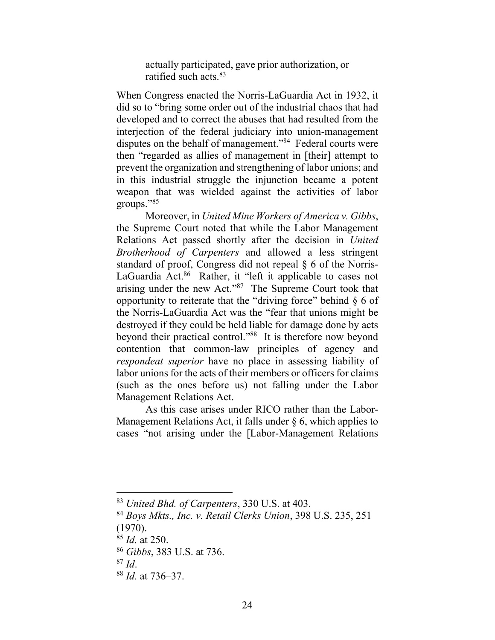actually participated, gave prior authorization, or ratified such acts.<sup>83</sup>

When Congress enacted the Norris-LaGuardia Act in 1932, it did so to "bring some order out of the industrial chaos that had developed and to correct the abuses that had resulted from the interjection of the federal judiciary into union-management disputes on the behalf of management."<sup>84</sup> Federal courts were then "regarded as allies of management in [their] attempt to prevent the organization and strengthening of labor unions; and in this industrial struggle the injunction became a potent weapon that was wielded against the activities of labor groups."<sup>85</sup>

Moreover, in *United Mine Workers of America v. Gibbs*, the Supreme Court noted that while the Labor Management Relations Act passed shortly after the decision in *United Brotherhood of Carpenters* and allowed a less stringent standard of proof, Congress did not repeal § 6 of the Norris-LaGuardia Act.<sup>86</sup> Rather, it "left it applicable to cases not arising under the new Act."<sup>87</sup> The Supreme Court took that opportunity to reiterate that the "driving force" behind  $\S 6$  of the Norris-LaGuardia Act was the "fear that unions might be destroyed if they could be held liable for damage done by acts beyond their practical control."<sup>88</sup> It is therefore now beyond contention that common-law principles of agency and *respondeat superior* have no place in assessing liability of labor unions for the acts of their members or officers for claims (such as the ones before us) not falling under the Labor Management Relations Act.

As this case arises under RICO rather than the Labor-Management Relations Act, it falls under § 6, which applies to cases "not arising under the [Labor-Management Relations

<sup>83</sup> *United Bhd. of Carpenters*, 330 U.S. at 403.

<sup>84</sup> *Boys Mkts., Inc. v. Retail Clerks Union*, 398 U.S. 235, 251 (1970).

<sup>85</sup> *Id.* at 250.

<sup>86</sup> *Gibbs*, 383 U.S. at 736.

<sup>87</sup> *Id*.

<sup>88</sup> *Id.* at 736–37.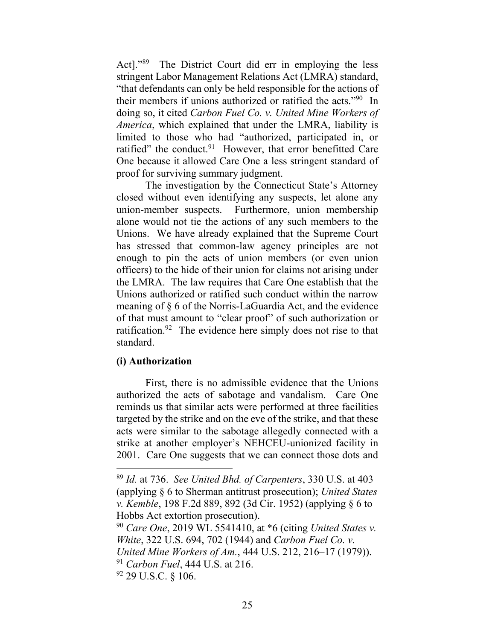Act]."<sup>89</sup> The District Court did err in employing the less stringent Labor Management Relations Act (LMRA) standard, "that defendants can only be held responsible for the actions of their members if unions authorized or ratified the acts."<sup>90</sup> In doing so, it cited *Carbon Fuel Co. v. United Mine Workers of America*, which explained that under the LMRA, liability is limited to those who had "authorized, participated in, or ratified" the conduct.<sup>91</sup> However, that error benefitted Care One because it allowed Care One a less stringent standard of proof for surviving summary judgment.

The investigation by the Connecticut State's Attorney closed without even identifying any suspects, let alone any union-member suspects. Furthermore, union membership alone would not tie the actions of any such members to the Unions. We have already explained that the Supreme Court has stressed that common-law agency principles are not enough to pin the acts of union members (or even union officers) to the hide of their union for claims not arising under the LMRA. The law requires that Care One establish that the Unions authorized or ratified such conduct within the narrow meaning of § 6 of the Norris-LaGuardia Act, and the evidence of that must amount to "clear proof" of such authorization or ratification.<sup>92</sup> The evidence here simply does not rise to that standard.

### **(i) Authorization**

First, there is no admissible evidence that the Unions authorized the acts of sabotage and vandalism. Care One reminds us that similar acts were performed at three facilities targeted by the strike and on the eve of the strike, and that these acts were similar to the sabotage allegedly connected with a strike at another employer's NEHCEU-unionized facility in 2001. Care One suggests that we can connect those dots and

<sup>89</sup> *Id.* at 736. *See United Bhd. of Carpenters*, 330 U.S. at 403 (applying § 6 to Sherman antitrust prosecution); *United States v. Kemble*, 198 F.2d 889, 892 (3d Cir. 1952) (applying § 6 to Hobbs Act extortion prosecution).

<sup>90</sup> *Care One*, 2019 WL 5541410, at \*6 (citing *United States v. White*, 322 U.S. 694, 702 (1944) and *Carbon Fuel Co. v. United Mine Workers of Am.*, 444 U.S. 212, 216–17 (1979)).

<sup>91</sup> *Carbon Fuel*, 444 U.S. at 216.

<sup>92</sup> 29 U.S.C. § 106.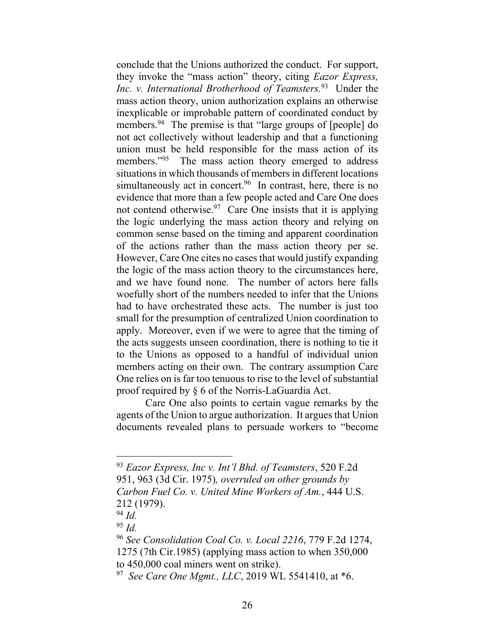conclude that the Unions authorized the conduct. For support, they invoke the "mass action" theory, citing *Eazor Express, Inc. v. International Brotherhood of Teamsters.*<sup>93</sup> Under the mass action theory, union authorization explains an otherwise inexplicable or improbable pattern of coordinated conduct by members.<sup>94</sup> The premise is that "large groups of [people] do not act collectively without leadership and that a functioning union must be held responsible for the mass action of its members."<sup>95</sup> The mass action theory emerged to address situations in which thousands of members in different locations simultaneously act in concert.<sup>96</sup> In contrast, here, there is no evidence that more than a few people acted and Care One does not contend otherwise.  $97$  Care One insists that it is applying the logic underlying the mass action theory and relying on common sense based on the timing and apparent coordination of the actions rather than the mass action theory per se. However, Care One cites no cases that would justify expanding the logic of the mass action theory to the circumstances here, and we have found none. The number of actors here falls woefully short of the numbers needed to infer that the Unions had to have orchestrated these acts. The number is just too small for the presumption of centralized Union coordination to apply. Moreover, even if we were to agree that the timing of the acts suggests unseen coordination, there is nothing to tie it to the Unions as opposed to a handful of individual union members acting on their own. The contrary assumption Care One relies on is far too tenuous to rise to the level of substantial proof required by § 6 of the Norris-LaGuardia Act.

Care One also points to certain vague remarks by the agents of the Union to argue authorization. It argues that Union documents revealed plans to persuade workers to "become

<sup>93</sup> *Eazor Express, Inc v. Int'l Bhd. of Teamsters*, 520 F.2d 951, 963 (3d Cir. 1975)*, overruled on other grounds by Carbon Fuel Co. v. United Mine Workers of Am.*, 444 U.S. 212 (1979).

<sup>94</sup> *Id.*

<sup>95</sup> *Id.*

<sup>96</sup> *See Consolidation Coal Co. v. Local 2216*, 779 F.2d 1274, 1275 (7th Cir.1985) (applying mass action to when 350,000 to 450,000 coal miners went on strike).

<sup>97</sup> *See Care One Mgmt., LLC*, 2019 WL 5541410, at \*6.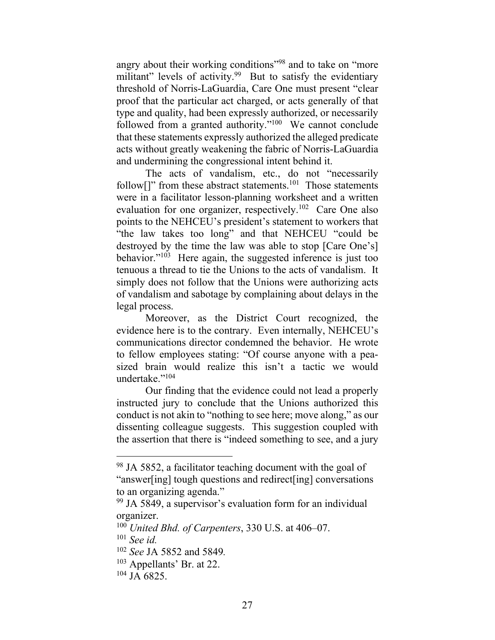angry about their working conditions"<sup>98</sup> and to take on "more militant" levels of activity.<sup>99</sup> But to satisfy the evidentiary threshold of Norris-LaGuardia, Care One must present "clear proof that the particular act charged, or acts generally of that type and quality, had been expressly authorized, or necessarily followed from a granted authority."<sup>100</sup> We cannot conclude that these statements expressly authorized the alleged predicate acts without greatly weakening the fabric of Norris-LaGuardia and undermining the congressional intent behind it.

The acts of vandalism, etc., do not "necessarily follow<sup>[]"</sup> from these abstract statements.<sup>101</sup> Those statements were in a facilitator lesson-planning worksheet and a written evaluation for one organizer, respectively.<sup>102</sup> Care One also points to the NEHCEU's president's statement to workers that "the law takes too long" and that NEHCEU "could be destroyed by the time the law was able to stop [Care One's] behavior."<sup>103</sup> Here again, the suggested inference is just too tenuous a thread to tie the Unions to the acts of vandalism. It simply does not follow that the Unions were authorizing acts of vandalism and sabotage by complaining about delays in the legal process.

Moreover, as the District Court recognized, the evidence here is to the contrary. Even internally, NEHCEU's communications director condemned the behavior. He wrote to fellow employees stating: "Of course anyone with a peasized brain would realize this isn't a tactic we would undertake."<sup>104</sup>

Our finding that the evidence could not lead a properly instructed jury to conclude that the Unions authorized this conduct is not akin to "nothing to see here; move along," as our dissenting colleague suggests. This suggestion coupled with the assertion that there is "indeed something to see, and a jury

<sup>&</sup>lt;sup>98</sup> JA 5852, a facilitator teaching document with the goal of "answer[ing] tough questions and redirect[ing] conversations to an organizing agenda."

<sup>99</sup> JA 5849, a supervisor's evaluation form for an individual organizer.

<sup>100</sup> *United Bhd. of Carpenters*, 330 U.S. at 406–07.

<sup>101</sup> *See id.*

<sup>102</sup> *See* JA 5852 and 5849*.*

<sup>103</sup> Appellants' Br. at 22.

 $104$  JA 6825.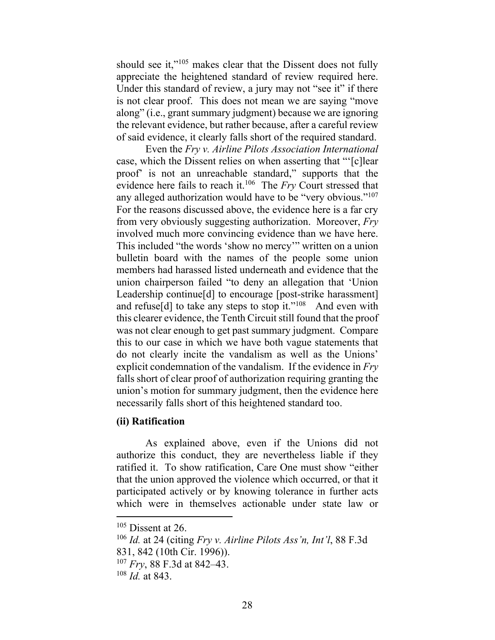should see it,"<sup>105</sup> makes clear that the Dissent does not fully appreciate the heightened standard of review required here. Under this standard of review, a jury may not "see it" if there is not clear proof. This does not mean we are saying "move along" (i.e., grant summary judgment) because we are ignoring the relevant evidence, but rather because, after a careful review of said evidence, it clearly falls short of the required standard.

Even the *Fry v. Airline Pilots Association International*  case, which the Dissent relies on when asserting that "'[c]lear proof' is not an unreachable standard," supports that the evidence here fails to reach it. 106 The *Fry* Court stressed that any alleged authorization would have to be "very obvious."<sup>107</sup> For the reasons discussed above, the evidence here is a far cry from very obviously suggesting authorization. Moreover, *Fry* involved much more convincing evidence than we have here. This included "the words 'show no mercy'" written on a union bulletin board with the names of the people some union members had harassed listed underneath and evidence that the union chairperson failed "to deny an allegation that 'Union Leadership continue[d] to encourage [post-strike harassment] and refuse[d] to take any steps to stop it."<sup>108</sup> And even with this clearer evidence, the Tenth Circuit still found that the proof was not clear enough to get past summary judgment. Compare this to our case in which we have both vague statements that do not clearly incite the vandalism as well as the Unions' explicit condemnation of the vandalism. If the evidence in *Fry*  falls short of clear proof of authorization requiring granting the union's motion for summary judgment, then the evidence here necessarily falls short of this heightened standard too.

### **(ii) Ratification**

As explained above, even if the Unions did not authorize this conduct, they are nevertheless liable if they ratified it. To show ratification, Care One must show "either that the union approved the violence which occurred, or that it participated actively or by knowing tolerance in further acts which were in themselves actionable under state law or

 $105$  Dissent at 26.

<sup>106</sup> *Id.* at 24 (citing *Fry v. Airline Pilots Ass'n, Int'l*, 88 F.3d

<sup>831, 842 (10</sup>th Cir. 1996)).

<sup>107</sup> *Fry*, 88 F.3d at 842–43.

<sup>108</sup> *Id.* at 843.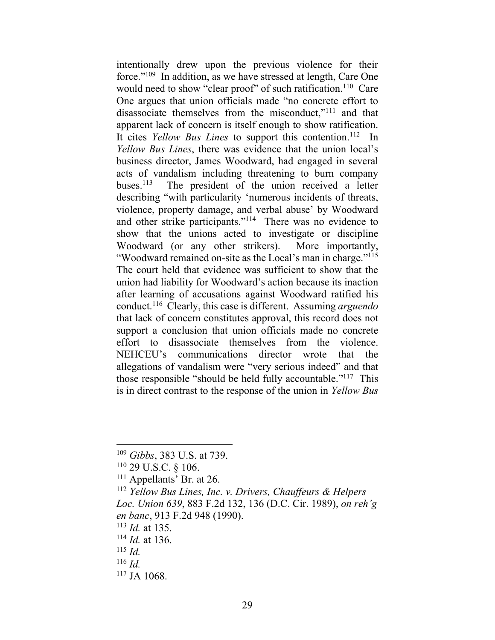intentionally drew upon the previous violence for their force."<sup>109</sup> In addition, as we have stressed at length, Care One would need to show "clear proof" of such ratification.<sup>110</sup> Care One argues that union officials made "no concrete effort to disassociate themselves from the misconduct,"<sup>111</sup> and that apparent lack of concern is itself enough to show ratification. It cites *Yellow Bus Lines* to support this contention.<sup>112</sup> In *Yellow Bus Lines*, there was evidence that the union local's business director, James Woodward, had engaged in several acts of vandalism including threatening to burn company buses. 113 The president of the union received a letter describing "with particularity 'numerous incidents of threats, violence, property damage, and verbal abuse' by Woodward and other strike participants."<sup>114</sup> There was no evidence to show that the unions acted to investigate or discipline Woodward (or any other strikers). More importantly, "Woodward remained on-site as the Local's man in charge."<sup>115</sup> The court held that evidence was sufficient to show that the union had liability for Woodward's action because its inaction after learning of accusations against Woodward ratified his conduct.<sup>116</sup> Clearly, this case is different. Assuming *arguendo*  that lack of concern constitutes approval, this record does not support a conclusion that union officials made no concrete effort to disassociate themselves from the violence. NEHCEU's communications director wrote that the allegations of vandalism were "very serious indeed" and that those responsible "should be held fully accountable."<sup>117</sup> This is in direct contrast to the response of the union in *Yellow Bus* 

<sup>109</sup> *Gibbs*, 383 U.S. at 739.

<sup>110</sup> 29 U.S.C. § 106.

<sup>111</sup> Appellants' Br. at 26.

<sup>112</sup> *Yellow Bus Lines, Inc. v. Drivers, Chauffeurs & Helpers Loc. Union 639*, 883 F.2d 132, 136 (D.C. Cir. 1989), *on reh'g en banc*, 913 F.2d 948 (1990).

<sup>113</sup> *Id.* at 135.

<sup>114</sup> *Id.* at 136.

<sup>115</sup> *Id.*

<sup>116</sup> *Id.*

<sup>117</sup> JA 1068.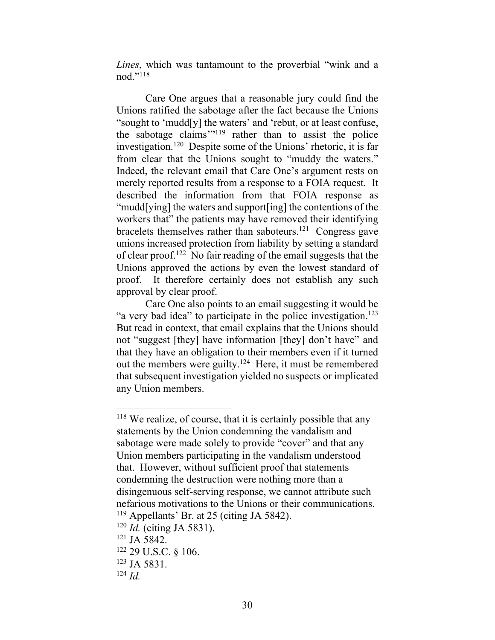*Lines*, which was tantamount to the proverbial "wink and a nod."<sup>118</sup>

Care One argues that a reasonable jury could find the Unions ratified the sabotage after the fact because the Unions "sought to 'mudd[y] the waters' and 'rebut, or at least confuse, the sabotage claims'" <sup>119</sup> rather than to assist the police investigation.<sup>120</sup> Despite some of the Unions' rhetoric, it is far from clear that the Unions sought to "muddy the waters." Indeed, the relevant email that Care One's argument rests on merely reported results from a response to a FOIA request. It described the information from that FOIA response as "mudd[ying] the waters and support[ing] the contentions of the workers that" the patients may have removed their identifying bracelets themselves rather than saboteurs.<sup>121</sup> Congress gave unions increased protection from liability by setting a standard of clear proof.<sup>122</sup> No fair reading of the email suggests that the Unions approved the actions by even the lowest standard of proof. It therefore certainly does not establish any such approval by clear proof.

Care One also points to an email suggesting it would be "a very bad idea" to participate in the police investigation.<sup>123</sup> But read in context, that email explains that the Unions should not "suggest [they] have information [they] don't have" and that they have an obligation to their members even if it turned out the members were guilty.<sup>124</sup> Here, it must be remembered that subsequent investigation yielded no suspects or implicated any Union members.

<sup>118</sup> We realize, of course, that it is certainly possible that any statements by the Union condemning the vandalism and sabotage were made solely to provide "cover" and that any Union members participating in the vandalism understood that. However, without sufficient proof that statements condemning the destruction were nothing more than a disingenuous self-serving response, we cannot attribute such nefarious motivations to the Unions or their communications. <sup>119</sup> Appellants' Br. at 25 (citing JA 5842).

<sup>120</sup> *Id.* (citing JA 5831).

<sup>121</sup> JA 5842.

<sup>122</sup> 29 U.S.C. § 106.

<sup>123</sup> JA 5831.

<sup>124</sup> *Id.*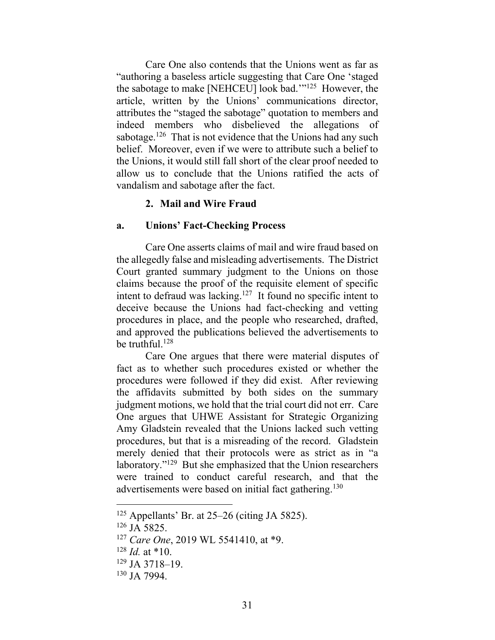Care One also contends that the Unions went as far as "authoring a baseless article suggesting that Care One 'staged the sabotage to make [NEHCEU] look bad.'"<sup>125</sup> However, the article, written by the Unions' communications director, attributes the "staged the sabotage" quotation to members and indeed members who disbelieved the allegations of sabotage.<sup>126</sup> That is not evidence that the Unions had any such belief. Moreover, even if we were to attribute such a belief to the Unions, it would still fall short of the clear proof needed to allow us to conclude that the Unions ratified the acts of vandalism and sabotage after the fact.

#### **2. Mail and Wire Fraud**

#### **a. Unions' Fact-Checking Process**

Care One asserts claims of mail and wire fraud based on the allegedly false and misleading advertisements. The District Court granted summary judgment to the Unions on those claims because the proof of the requisite element of specific intent to defraud was lacking.<sup>127</sup> It found no specific intent to deceive because the Unions had fact-checking and vetting procedures in place, and the people who researched, drafted, and approved the publications believed the advertisements to be truthful.<sup>128</sup>

Care One argues that there were material disputes of fact as to whether such procedures existed or whether the procedures were followed if they did exist. After reviewing the affidavits submitted by both sides on the summary judgment motions, we hold that the trial court did not err. Care One argues that UHWE Assistant for Strategic Organizing Amy Gladstein revealed that the Unions lacked such vetting procedures, but that is a misreading of the record. Gladstein merely denied that their protocols were as strict as in "a laboratory."<sup>129</sup> But she emphasized that the Union researchers were trained to conduct careful research, and that the advertisements were based on initial fact gathering.<sup>130</sup>

 $125$  Appellants' Br. at 25–26 (citing JA 5825).

<sup>126</sup> JA 5825.

<sup>127</sup> *Care One*, 2019 WL 5541410, at \*9.

 $128$  *Id.* at \*10.

<sup>129</sup> JA 3718–19.

<sup>130</sup> JA 7994.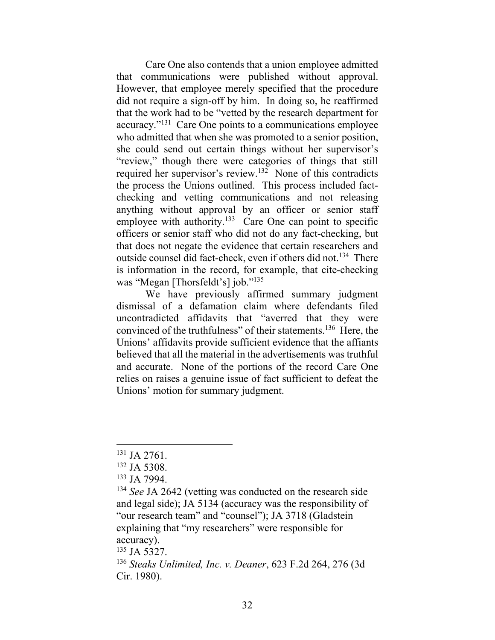Care One also contends that a union employee admitted that communications were published without approval. However, that employee merely specified that the procedure did not require a sign-off by him. In doing so, he reaffirmed that the work had to be "vetted by the research department for accuracy."<sup>131</sup> Care One points to a communications employee who admitted that when she was promoted to a senior position, she could send out certain things without her supervisor's "review," though there were categories of things that still required her supervisor's review.<sup>132</sup> None of this contradicts the process the Unions outlined. This process included factchecking and vetting communications and not releasing anything without approval by an officer or senior staff employee with authority.<sup>133</sup> Care One can point to specific officers or senior staff who did not do any fact-checking, but that does not negate the evidence that certain researchers and outside counsel did fact-check, even if others did not.<sup>134</sup> There is information in the record, for example, that cite-checking was "Megan [Thorsfeldt's] job."<sup>135</sup>

We have previously affirmed summary judgment dismissal of a defamation claim where defendants filed uncontradicted affidavits that "averred that they were convinced of the truthfulness" of their statements.<sup>136</sup> Here, the Unions' affidavits provide sufficient evidence that the affiants believed that all the material in the advertisements was truthful and accurate. None of the portions of the record Care One relies on raises a genuine issue of fact sufficient to defeat the Unions' motion for summary judgment.

<sup>135</sup> JA 5327.

<sup>131</sup> JA 2761.

<sup>132</sup> JA 5308.

<sup>133</sup> JA 7994.

<sup>&</sup>lt;sup>134</sup> *See* JA 2642 (vetting was conducted on the research side and legal side); JA 5134 (accuracy was the responsibility of "our research team" and "counsel"); JA 3718 (Gladstein explaining that "my researchers" were responsible for accuracy).

<sup>136</sup> *Steaks Unlimited, Inc. v. Deaner*, 623 F.2d 264, 276 (3d Cir. 1980).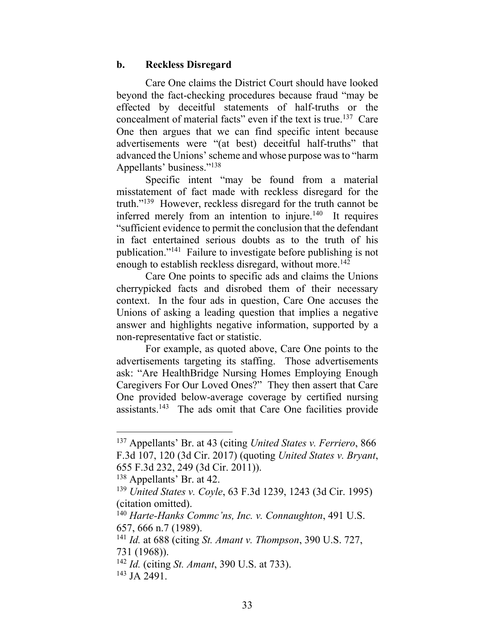#### **b. Reckless Disregard**

Care One claims the District Court should have looked beyond the fact-checking procedures because fraud "may be effected by deceitful statements of half-truths or the concealment of material facts" even if the text is true.<sup>137</sup> Care One then argues that we can find specific intent because advertisements were "(at best) deceitful half-truths" that advanced the Unions' scheme and whose purpose was to "harm Appellants' business."<sup>138</sup>

Specific intent "may be found from a material misstatement of fact made with reckless disregard for the truth." <sup>139</sup> However, reckless disregard for the truth cannot be inferred merely from an intention to injure.<sup>140</sup> It requires "sufficient evidence to permit the conclusion that the defendant in fact entertained serious doubts as to the truth of his publication."<sup>141</sup> Failure to investigate before publishing is not enough to establish reckless disregard, without more.<sup>142</sup>

Care One points to specific ads and claims the Unions cherrypicked facts and disrobed them of their necessary context. In the four ads in question, Care One accuses the Unions of asking a leading question that implies a negative answer and highlights negative information, supported by a non-representative fact or statistic.

For example, as quoted above, Care One points to the advertisements targeting its staffing. Those advertisements ask: "Are HealthBridge Nursing Homes Employing Enough Caregivers For Our Loved Ones?" They then assert that Care One provided below-average coverage by certified nursing assistants.<sup>143</sup> The ads omit that Care One facilities provide

<sup>137</sup> Appellants' Br. at 43 (citing *United States v. Ferriero*, 866 F.3d 107, 120 (3d Cir. 2017) (quoting *United States v. Bryant*, 655 F.3d 232, 249 (3d Cir. 2011)).

<sup>&</sup>lt;sup>138</sup> Appellants' Br. at 42.

<sup>139</sup> *United States v. Coyle*, 63 F.3d 1239, 1243 (3d Cir. 1995) (citation omitted).

<sup>140</sup> *Harte-Hanks Commc'ns, Inc. v. Connaughton*, 491 U.S. 657, 666 n.7 (1989).

<sup>141</sup> *Id.* at 688 (citing *St. Amant v. Thompson*, 390 U.S. 727, 731 (1968)).

<sup>142</sup> *Id.* (citing *St. Amant*, 390 U.S. at 733).

<sup>143</sup> JA 2491.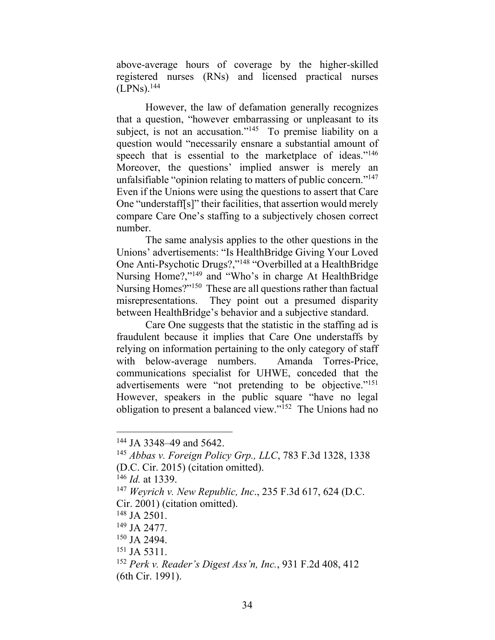above-average hours of coverage by the higher-skilled registered nurses (RNs) and licensed practical nurses  $(LPNs).<sup>144</sup>$ 

However, the law of defamation generally recognizes that a question, "however embarrassing or unpleasant to its subject, is not an accusation."<sup>145</sup> To premise liability on a question would "necessarily ensnare a substantial amount of speech that is essential to the marketplace of ideas."<sup>146</sup> Moreover, the questions' implied answer is merely an unfalsifiable "opinion relating to matters of public concern."<sup>147</sup> Even if the Unions were using the questions to assert that Care One "understaff[s]" their facilities, that assertion would merely compare Care One's staffing to a subjectively chosen correct number.

The same analysis applies to the other questions in the Unions' advertisements: "Is HealthBridge Giving Your Loved One Anti-Psychotic Drugs?,"<sup>148</sup> "Overbilled at a HealthBridge Nursing Home?,"<sup>149</sup> and "Who's in charge At HealthBridge Nursing Homes?"<sup>150</sup> These are all questions rather than factual misrepresentations. They point out a presumed disparity between HealthBridge's behavior and a subjective standard.

Care One suggests that the statistic in the staffing ad is fraudulent because it implies that Care One understaffs by relying on information pertaining to the only category of staff with below-average numbers. Amanda Torres-Price, communications specialist for UHWE, conceded that the advertisements were "not pretending to be objective."<sup>151</sup> However, speakers in the public square "have no legal obligation to present a balanced view."<sup>152</sup> The Unions had no

<sup>144</sup> JA 3348–49 and 5642.

<sup>145</sup> *Abbas v. Foreign Policy Grp., LLC*, 783 F.3d 1328, 1338 (D.C. Cir. 2015) (citation omitted).

<sup>146</sup> *Id.* at 1339.

<sup>147</sup> *Weyrich v. New Republic, Inc*., 235 F.3d 617, 624 (D.C. Cir. 2001) (citation omitted).

<sup>148</sup> JA 2501.

<sup>149</sup> JA 2477.

<sup>150</sup> JA 2494.

<sup>151</sup> JA 5311.

<sup>152</sup> *Perk v. Reader's Digest Ass'n, Inc.*, 931 F.2d 408, 412 (6th Cir. 1991).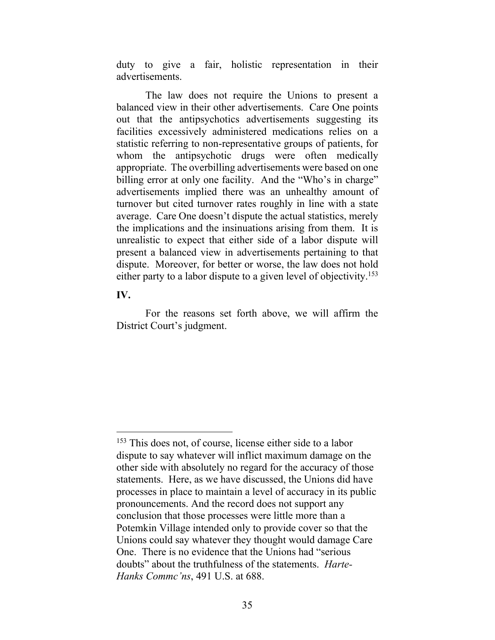duty to give a fair, holistic representation in their advertisements.

The law does not require the Unions to present a balanced view in their other advertisements. Care One points out that the antipsychotics advertisements suggesting its facilities excessively administered medications relies on a statistic referring to non-representative groups of patients, for whom the antipsychotic drugs were often medically appropriate. The overbilling advertisements were based on one billing error at only one facility. And the "Who's in charge" advertisements implied there was an unhealthy amount of turnover but cited turnover rates roughly in line with a state average. Care One doesn't dispute the actual statistics, merely the implications and the insinuations arising from them. It is unrealistic to expect that either side of a labor dispute will present a balanced view in advertisements pertaining to that dispute. Moreover, for better or worse, the law does not hold either party to a labor dispute to a given level of objectivity.<sup>153</sup>

### **IV.**

For the reasons set forth above, we will affirm the District Court's judgment.

<sup>&</sup>lt;sup>153</sup> This does not, of course, license either side to a labor dispute to say whatever will inflict maximum damage on the other side with absolutely no regard for the accuracy of those statements. Here, as we have discussed, the Unions did have processes in place to maintain a level of accuracy in its public pronouncements. And the record does not support any conclusion that those processes were little more than a Potemkin Village intended only to provide cover so that the Unions could say whatever they thought would damage Care One. There is no evidence that the Unions had "serious doubts" about the truthfulness of the statements. *Harte-Hanks Commc'ns*, 491 U.S. at 688.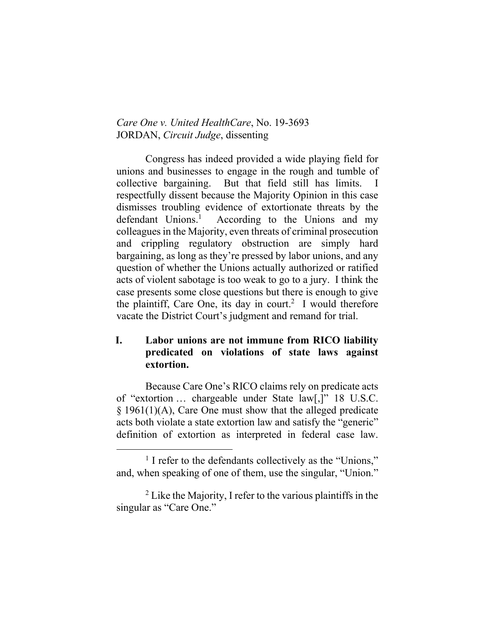### *Care One v. United HealthCare*, No. 19-3693 JORDAN, *Circuit Judge*, dissenting

Congress has indeed provided a wide playing field for unions and businesses to engage in the rough and tumble of collective bargaining. But that field still has limits. respectfully dissent because the Majority Opinion in this case dismisses troubling evidence of extortionate threats by the defendant Unions.<sup>1</sup> According to the Unions and my colleagues in the Majority, even threats of criminal prosecution and crippling regulatory obstruction are simply hard bargaining, as long as they're pressed by labor unions, and any question of whether the Unions actually authorized or ratified acts of violent sabotage is too weak to go to a jury. I think the case presents some close questions but there is enough to give the plaintiff, Care One, its day in court.<sup>2</sup> I would therefore vacate the District Court's judgment and remand for trial.

# **I. Labor unions are not immune from RICO liability predicated on violations of state laws against extortion.**

Because Care One's RICO claims rely on predicate acts of "extortion … chargeable under State law[,]" 18 U.S.C.  $\S$  1961(1)(A), Care One must show that the alleged predicate acts both violate a state extortion law and satisfy the "generic" definition of extortion as interpreted in federal case law.

<sup>&</sup>lt;sup>1</sup> I refer to the defendants collectively as the "Unions," and, when speaking of one of them, use the singular, "Union."

 $2^2$  Like the Majority, I refer to the various plaintiffs in the singular as "Care One."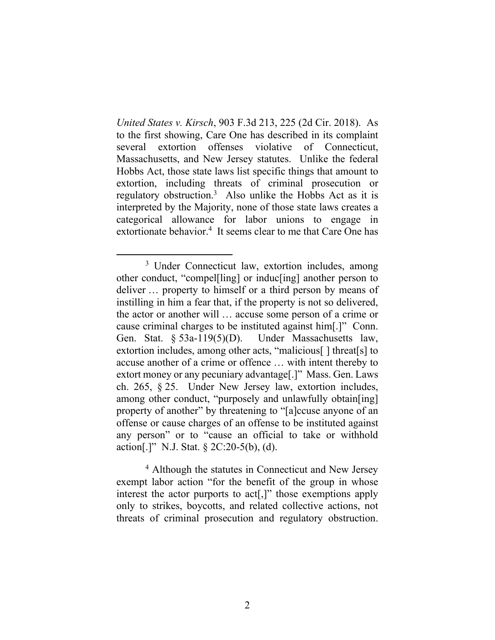*United States v. Kirsch*, 903 F.3d 213, 225 (2d Cir. 2018). As to the first showing, Care One has described in its complaint several extortion offenses violative of Connecticut, Massachusetts, and New Jersey statutes. Unlike the federal Hobbs Act, those state laws list specific things that amount to extortion, including threats of criminal prosecution or regulatory obstruction.<sup>3</sup> Also unlike the Hobbs Act as it is interpreted by the Majority, none of those state laws creates a categorical allowance for labor unions to engage in extortionate behavior.<sup>4</sup> It seems clear to me that Care One has

<sup>4</sup> Although the statutes in Connecticut and New Jersey exempt labor action "for the benefit of the group in whose interest the actor purports to act[,]" those exemptions apply only to strikes, boycotts, and related collective actions, not threats of criminal prosecution and regulatory obstruction.

<span id="page-37-0"></span><sup>3</sup> Under Connecticut law, extortion includes, among other conduct, "compel[ling] or induc[ing] another person to deliver … property to himself or a third person by means of instilling in him a fear that, if the property is not so delivered, the actor or another will … accuse some person of a crime or cause criminal charges to be instituted against him[.]" Conn. Gen. Stat. § 53a-119(5)(D). Under Massachusetts law, extortion includes, among other acts, "malicious[ ] threat[s] to accuse another of a crime or offence … with intent thereby to extort money or any pecuniary advantage[.]" Mass. Gen. Laws ch. 265, § 25. Under New Jersey law, extortion includes, among other conduct, "purposely and unlawfully obtain[ing] property of another" by threatening to "[a]ccuse anyone of an offense or cause charges of an offense to be instituted against any person" or to "cause an official to take or withhold action[.]" N.J. Stat.  $\S 2C:20-5(b)$ , (d).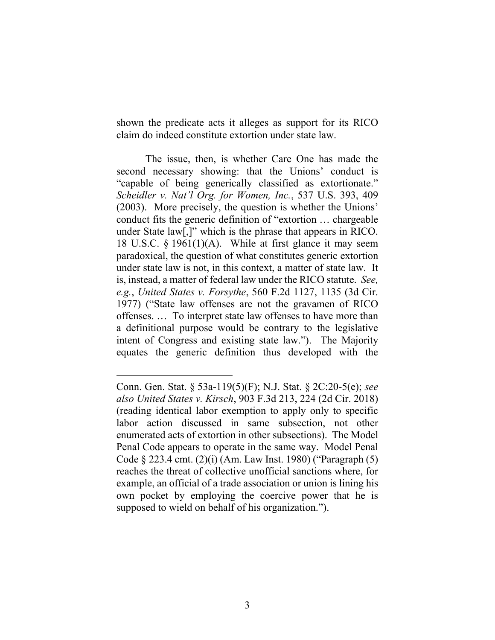shown the predicate acts it alleges as support for its RICO claim do indeed constitute extortion under state law.

The issue, then, is whether Care One has made the second necessary showing: that the Unions' conduct is "capable of being generically classified as extortionate." *Scheidler v. Nat'l Org. for Women, Inc.*, 537 U.S. 393, 409 (2003). More precisely, the question is whether the Unions' conduct fits the generic definition of "extortion … chargeable under State law[,]" which is the phrase that appears in RICO. 18 U.S.C. § 1961(1)(A). While at first glance it may seem paradoxical, the question of what constitutes generic extortion under state law is not, in this context, a matter of state law. It is, instead, a matter of federal law under the RICO statute. *See, e.g.*, *United States v. Forsythe*, 560 F.2d 1127, 1135 (3d Cir. 1977) ("State law offenses are not the gravamen of RICO offenses. … To interpret state law offenses to have more than a definitional purpose would be contrary to the legislative intent of Congress and existing state law."). The Majority equates the generic definition thus developed with the

Conn. Gen. Stat. § 53a-119(5)(F); N.J. Stat. § 2C:20-5(e); *see also United States v. Kirsch*, 903 F.3d 213, 224 (2d Cir. 2018) (reading identical labor exemption to apply only to specific labor action discussed in same subsection, not other enumerated acts of extortion in other subsections). The Model Penal Code appears to operate in the same way. Model Penal Code § 223.4 cmt. (2)(i) (Am. Law Inst. 1980) ("Paragraph (5) reaches the threat of collective unofficial sanctions where, for example, an official of a trade association or union is lining his own pocket by employing the coercive power that he is supposed to wield on behalf of his organization.").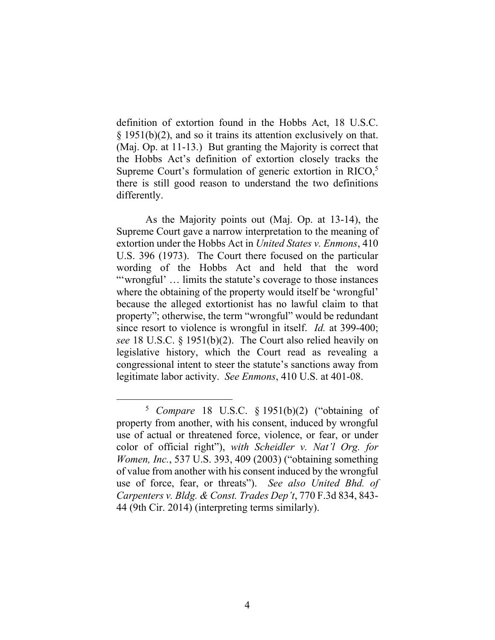definition of extortion found in the Hobbs Act, 18 U.S.C. § 1951(b)(2), and so it trains its attention exclusively on that. (Maj. Op. at 11-13.) But granting the Majority is correct that the Hobbs Act's definition of extortion closely tracks the Supreme Court's formulation of generic extortion in RICO,<sup>5</sup> there is still good reason to understand the two definitions differently.

As the Majority points out (Maj. Op. at 13-14), the Supreme Court gave a narrow interpretation to the meaning of extortion under the Hobbs Act in *United States v. Enmons*, 410 U.S. 396 (1973). The Court there focused on the particular wording of the Hobbs Act and held that the word "'wrongful' … limits the statute's coverage to those instances where the obtaining of the property would itself be 'wrongful' because the alleged extortionist has no lawful claim to that property"; otherwise, the term "wrongful" would be redundant since resort to violence is wrongful in itself. *Id.* at 399-400; *see* 18 U.S.C. § 1951(b)(2). The Court also relied heavily on legislative history, which the Court read as revealing a congressional intent to steer the statute's sanctions away from legitimate labor activity. *See Enmons*, 410 U.S. at 401-08.

<sup>5</sup> *Compare* 18 U.S.C. § 1951(b)(2) ("obtaining of property from another, with his consent, induced by wrongful use of actual or threatened force, violence, or fear, or under color of official right"), *with Scheidler v. Nat'l Org. for Women, Inc.*, 537 U.S. 393, 409 (2003) ("obtaining something of value from another with his consent induced by the wrongful use of force, fear, or threats"). *See also United Bhd. of Carpenters v. Bldg. & Const. Trades Dep't*, 770 F.3d 834, 843- 44 (9th Cir. 2014) (interpreting terms similarly).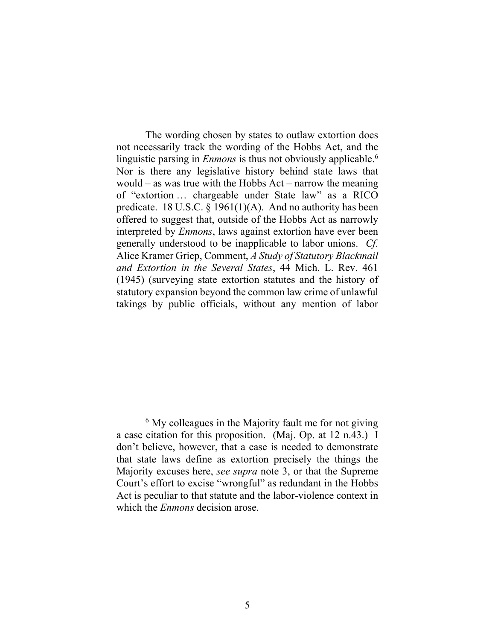The wording chosen by states to outlaw extortion does not necessarily track the wording of the Hobbs Act, and the linguistic parsing in *Enmons* is thus not obviously applicable.<sup>6</sup> Nor is there any legislative history behind state laws that would – as was true with the Hobbs Act – narrow the meaning of "extortion … chargeable under State law" as a RICO predicate. 18 U.S.C. § 1961(1)(A). And no authority has been offered to suggest that, outside of the Hobbs Act as narrowly interpreted by *Enmons*, laws against extortion have ever been generally understood to be inapplicable to labor unions. *Cf.* Alice Kramer Griep, Comment, *A Study of Statutory Blackmail and Extortion in the Several States*, 44 Mich. L. Rev. 461 (1945) (surveying state extortion statutes and the history of statutory expansion beyond the common law crime of unlawful takings by public officials, without any mention of labor

 $6$  My colleagues in the Majority fault me for not giving a case citation for this proposition. (Maj. Op. at 12 n.43.) I don't believe, however, that a case is needed to demonstrate that state laws define as extortion precisely the things the Majority excuses here, *see supra* note [3,](#page-37-0) or that the Supreme Court's effort to excise "wrongful" as redundant in the Hobbs Act is peculiar to that statute and the labor-violence context in which the *Enmons* decision arose.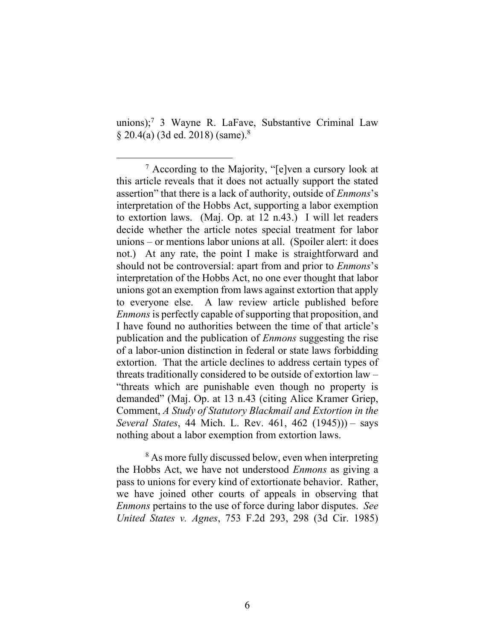<span id="page-41-0"></span>unions); <sup>7</sup> 3 Wayne R. LaFave, Substantive Criminal Law § 20.4(a) (3d ed. 2018) (same).<sup>8</sup>

<sup>8</sup> As more fully discussed below, even when interpreting the Hobbs Act, we have not understood *Enmons* as giving a pass to unions for every kind of extortionate behavior. Rather, we have joined other courts of appeals in observing that *Enmons* pertains to the use of force during labor disputes. *See United States v. Agnes*, 753 F.2d 293, 298 (3d Cir. 1985)

<sup>7</sup> According to the Majority, "[e]ven a cursory look at this article reveals that it does not actually support the stated assertion" that there is a lack of authority, outside of *Enmons*'s interpretation of the Hobbs Act, supporting a labor exemption to extortion laws. (Maj. Op. at 12 n.43.) I will let readers decide whether the article notes special treatment for labor unions – or mentions labor unions at all. (Spoiler alert: it does not.) At any rate, the point I make is straightforward and should not be controversial: apart from and prior to *Enmons*'s interpretation of the Hobbs Act, no one ever thought that labor unions got an exemption from laws against extortion that apply to everyone else. A law review article published before *Enmons*is perfectly capable of supporting that proposition, and I have found no authorities between the time of that article's publication and the publication of *Enmons* suggesting the rise of a labor-union distinction in federal or state laws forbidding extortion. That the article declines to address certain types of threats traditionally considered to be outside of extortion law – "threats which are punishable even though no property is demanded" (Maj. Op. at 13 n.43 (citing Alice Kramer Griep, Comment, *A Study of Statutory Blackmail and Extortion in the Several States*, 44 Mich. L. Rev. 461, 462 (1945))) – says nothing about a labor exemption from extortion laws.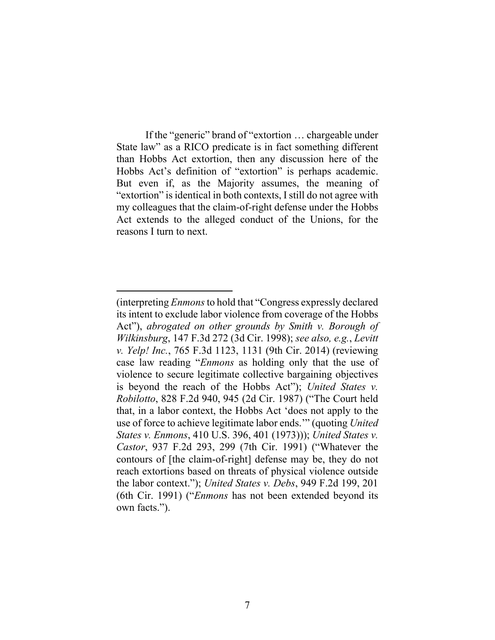If the "generic" brand of "extortion … chargeable under State law" as a RICO predicate is in fact something different than Hobbs Act extortion, then any discussion here of the Hobbs Act's definition of "extortion" is perhaps academic. But even if, as the Majority assumes, the meaning of "extortion" is identical in both contexts, I still do not agree with my colleagues that the claim-of-right defense under the Hobbs Act extends to the alleged conduct of the Unions, for the reasons I turn to next.

<sup>(</sup>interpreting *Enmons*to hold that "Congress expressly declared its intent to exclude labor violence from coverage of the Hobbs Act"), *abrogated on other grounds by Smith v. Borough of Wilkinsburg*, 147 F.3d 272 (3d Cir. 1998); *see also, e.g.*, *Levitt v. Yelp! Inc.*, 765 F.3d 1123, 1131 (9th Cir. 2014) (reviewing case law reading "*Enmons* as holding only that the use of violence to secure legitimate collective bargaining objectives is beyond the reach of the Hobbs Act"); *United States v. Robilotto*, 828 F.2d 940, 945 (2d Cir. 1987) ("The Court held that, in a labor context, the Hobbs Act 'does not apply to the use of force to achieve legitimate labor ends.'" (quoting *United States v. Enmons*, 410 U.S. 396, 401 (1973))); *United States v. Castor*, 937 F.2d 293, 299 (7th Cir. 1991) ("Whatever the contours of [the claim-of-right] defense may be, they do not reach extortions based on threats of physical violence outside the labor context."); *United States v. Debs*, 949 F.2d 199, 201 (6th Cir. 1991) ("*Enmons* has not been extended beyond its own facts.").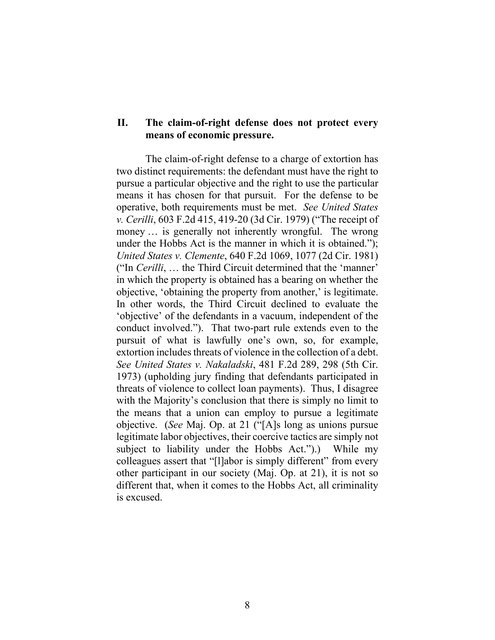## **II. The claim-of-right defense does not protect every means of economic pressure.**

The claim-of-right defense to a charge of extortion has two distinct requirements: the defendant must have the right to pursue a particular objective and the right to use the particular means it has chosen for that pursuit. For the defense to be operative, both requirements must be met. *See United States v. Cerilli*, 603 F.2d 415, 419-20 (3d Cir. 1979) ("The receipt of money ... is generally not inherently wrongful. The wrong under the Hobbs Act is the manner in which it is obtained."); *United States v. Clemente*, 640 F.2d 1069, 1077 (2d Cir. 1981) ("In *Cerilli*, … the Third Circuit determined that the 'manner' in which the property is obtained has a bearing on whether the objective, 'obtaining the property from another,' is legitimate. In other words, the Third Circuit declined to evaluate the 'objective' of the defendants in a vacuum, independent of the conduct involved."). That two-part rule extends even to the pursuit of what is lawfully one's own, so, for example, extortion includes threats of violence in the collection of a debt. *See United States v. Nakaladski*, 481 F.2d 289, 298 (5th Cir. 1973) (upholding jury finding that defendants participated in threats of violence to collect loan payments). Thus, I disagree with the Majority's conclusion that there is simply no limit to the means that a union can employ to pursue a legitimate objective. (*See* Maj. Op. at 21 ("[A]s long as unions pursue legitimate labor objectives, their coercive tactics are simply not subject to liability under the Hobbs Act.").) While my colleagues assert that "[l]abor is simply different" from every other participant in our society (Maj. Op. at 21), it is not so different that, when it comes to the Hobbs Act, all criminality is excused.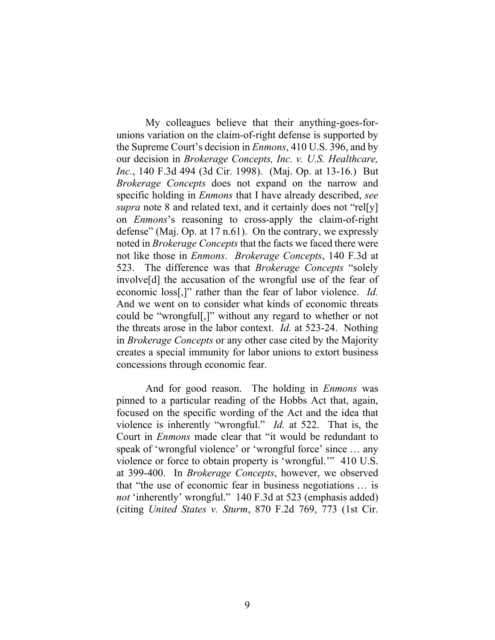My colleagues believe that their anything-goes-forunions variation on the claim-of-right defense is supported by the Supreme Court's decision in *Enmons*, 410 U.S. 396, and by our decision in *Brokerage Concepts, Inc. v. U.S. Healthcare, Inc.*, 140 F.3d 494 (3d Cir. 1998). (Maj. Op. at 13-16.) But *Brokerage Concepts* does not expand on the narrow and specific holding in *Enmons* that I have already described, *see supra* note [8](#page-41-0) and related text, and it certainly does not "rel[y] on *Enmons*'s reasoning to cross-apply the claim-of-right defense" (Maj. Op. at 17 n.61). On the contrary, we expressly noted in *Brokerage Concepts* that the facts we faced there were not like those in *Enmons*. *Brokerage Concepts*, 140 F.3d at 523. The difference was that *Brokerage Concepts* "solely involve[d] the accusation of the wrongful use of the fear of economic loss[,]" rather than the fear of labor violence. *Id.* And we went on to consider what kinds of economic threats could be "wrongful[,]" without any regard to whether or not the threats arose in the labor context. *Id.* at 523-24. Nothing in *Brokerage Concepts* or any other case cited by the Majority creates a special immunity for labor unions to extort business concessions through economic fear.

And for good reason. The holding in *Enmons* was pinned to a particular reading of the Hobbs Act that, again, focused on the specific wording of the Act and the idea that violence is inherently "wrongful." *Id.* at 522. That is, the Court in *Enmons* made clear that "it would be redundant to speak of 'wrongful violence' or 'wrongful force' since … any violence or force to obtain property is 'wrongful.'" 410 U.S. at 399-400. In *Brokerage Concepts*, however, we observed that "the use of economic fear in business negotiations … is *not* 'inherently' wrongful." 140 F.3d at 523 (emphasis added) (citing *United States v. Sturm*, 870 F.2d 769, 773 (1st Cir.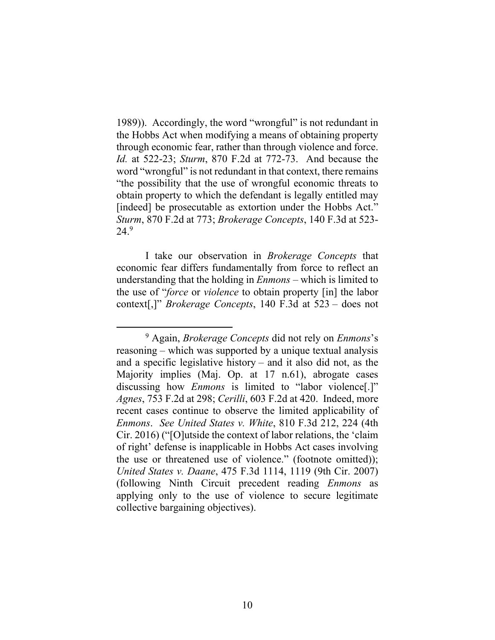1989)). Accordingly, the word "wrongful" is not redundant in the Hobbs Act when modifying a means of obtaining property through economic fear, rather than through violence and force. *Id.* at 522-23; *Sturm*, 870 F.2d at 772-73. And because the word "wrongful" is not redundant in that context, there remains "the possibility that the use of wrongful economic threats to obtain property to which the defendant is legally entitled may [indeed] be prosecutable as extortion under the Hobbs Act." *Sturm*, 870 F.2d at 773; *Brokerage Concepts*, 140 F.3d at 523- 24. 9

I take our observation in *Brokerage Concepts* that economic fear differs fundamentally from force to reflect an understanding that the holding in *Enmons* – which is limited to the use of "*force* or *violence* to obtain property [in] the labor context[,]" *Brokerage Concepts*, 140 F.3d at 523 – does not

<sup>9</sup> Again, *Brokerage Concepts* did not rely on *Enmons*'s reasoning – which was supported by a unique textual analysis and a specific legislative history – and it also did not, as the Majority implies (Maj. Op. at 17 n.61), abrogate cases discussing how *Enmons* is limited to "labor violence[.]" *Agnes*, 753 F.2d at 298; *Cerilli*, 603 F.2d at 420. Indeed, more recent cases continue to observe the limited applicability of *Enmons*. *See United States v. White*, 810 F.3d 212, 224 (4th Cir. 2016) ("[O]utside the context of labor relations, the 'claim of right' defense is inapplicable in Hobbs Act cases involving the use or threatened use of violence." (footnote omitted)); *United States v. Daane*, 475 F.3d 1114, 1119 (9th Cir. 2007) (following Ninth Circuit precedent reading *Enmons* as applying only to the use of violence to secure legitimate collective bargaining objectives).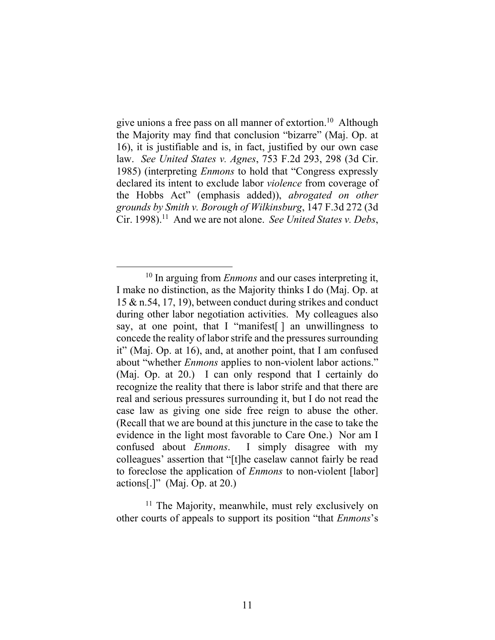give unions a free pass on all manner of extortion. 10 Although the Majority may find that conclusion "bizarre" (Maj. Op. at 16), it is justifiable and is, in fact, justified by our own case law. *See United States v. Agnes*, 753 F.2d 293, 298 (3d Cir. 1985) (interpreting *Enmons* to hold that "Congress expressly declared its intent to exclude labor *violence* from coverage of the Hobbs Act" (emphasis added)), *abrogated on other grounds by Smith v. Borough of Wilkinsburg*, 147 F.3d 272 (3d Cir. 1998). 11 And we are not alone. *See United States v. Debs*,

<sup>11</sup> The Majority, meanwhile, must rely exclusively on other courts of appeals to support its position "that *Enmons*'s

<sup>&</sup>lt;sup>10</sup> In arguing from *Enmons* and our cases interpreting it, I make no distinction, as the Majority thinks I do (Maj. Op. at 15 & n.54, 17, 19), between conduct during strikes and conduct during other labor negotiation activities. My colleagues also say, at one point, that I "manifest<sup>[]</sup> an unwillingness to concede the reality of labor strife and the pressures surrounding it" (Maj. Op. at 16), and, at another point, that I am confused about "whether *Enmons* applies to non-violent labor actions." (Maj. Op. at 20.) I can only respond that I certainly do recognize the reality that there is labor strife and that there are real and serious pressures surrounding it, but I do not read the case law as giving one side free reign to abuse the other. (Recall that we are bound at this juncture in the case to take the evidence in the light most favorable to Care One.) Nor am I confused about *Enmons*. I simply disagree with my colleagues' assertion that "[t]he caselaw cannot fairly be read to foreclose the application of *Enmons* to non-violent [labor] actions[.]" (Maj. Op. at  $20$ .)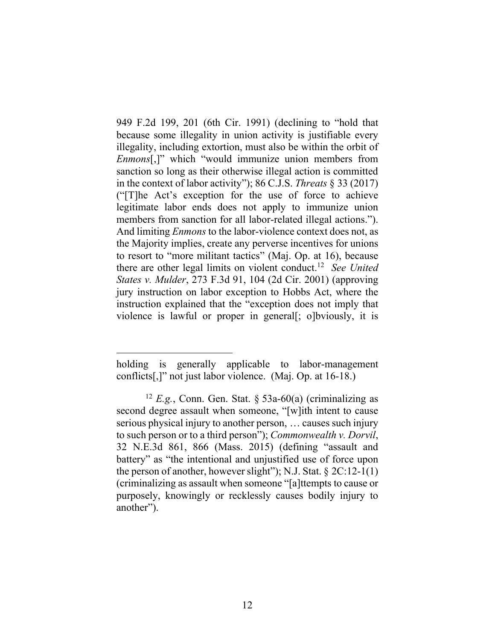949 F.2d 199, 201 (6th Cir. 1991) (declining to "hold that because some illegality in union activity is justifiable every illegality, including extortion, must also be within the orbit of *Enmons*[,]" which "would immunize union members from sanction so long as their otherwise illegal action is committed in the context of labor activity"); 86 C.J.S. *Threats* § 33 (2017) ("[T]he Act's exception for the use of force to achieve legitimate labor ends does not apply to immunize union members from sanction for all labor-related illegal actions."). And limiting *Enmons* to the labor-violence context does not, as the Majority implies, create any perverse incentives for unions to resort to "more militant tactics" (Maj. Op. at 16), because there are other legal limits on violent conduct. 12 *See United States v. Mulder*, 273 F.3d 91, 104 (2d Cir. 2001) (approving jury instruction on labor exception to Hobbs Act, where the instruction explained that the "exception does not imply that violence is lawful or proper in general[; o]bviously, it is

holding is generally applicable to labor-management conflicts[,]" not just labor violence. (Maj. Op. at 16-18.)

<sup>&</sup>lt;sup>12</sup> *E.g.*, Conn. Gen. Stat. § 53a-60(a) (criminalizing as second degree assault when someone, "[w]ith intent to cause serious physical injury to another person, … causes such injury to such person or to a third person"); *Commonwealth v. Dorvil*, 32 N.E.3d 861, 866 (Mass. 2015) (defining "assault and battery" as "the intentional and unjustified use of force upon the person of another, however slight"); N.J. Stat.  $\S 2C:12-1(1)$ (criminalizing as assault when someone "[a]ttempts to cause or purposely, knowingly or recklessly causes bodily injury to another").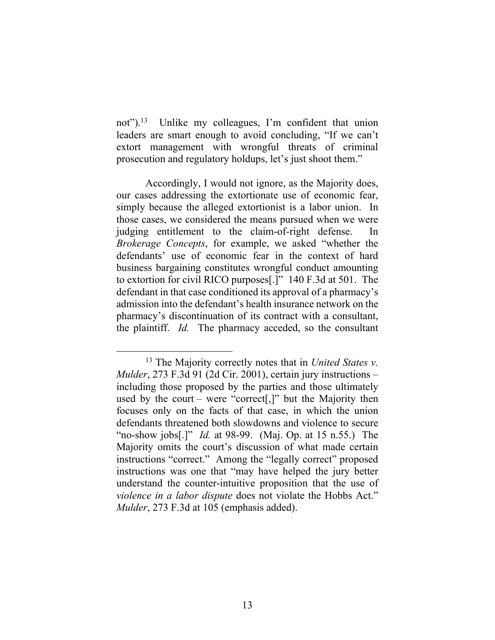not").<sup>13</sup> Unlike my colleagues, I'm confident that union leaders are smart enough to avoid concluding, "If we can't extort management with wrongful threats of criminal prosecution and regulatory holdups, let's just shoot them."

Accordingly, I would not ignore, as the Majority does, our cases addressing the extortionate use of economic fear, simply because the alleged extortionist is a labor union. In those cases, we considered the means pursued when we were judging entitlement to the claim-of-right defense. In *Brokerage Concepts*, for example, we asked "whether the defendants' use of economic fear in the context of hard business bargaining constitutes wrongful conduct amounting to extortion for civil RICO purposes[.]" 140 F.3d at 501. The defendant in that case conditioned its approval of a pharmacy's admission into the defendant's health insurance network on the pharmacy's discontinuation of its contract with a consultant, the plaintiff. *Id.* The pharmacy acceded, so the consultant

<sup>13</sup> The Majority correctly notes that in *United States v. Mulder*, 273 F.3d 91 (2d Cir. 2001), certain jury instructions – including those proposed by the parties and those ultimately used by the court – were "correct[,]" but the Majority then focuses only on the facts of that case, in which the union defendants threatened both slowdowns and violence to secure "no-show jobs[.]" *Id.* at 98-99. (Maj. Op. at 15 n.55.) The Majority omits the court's discussion of what made certain instructions "correct." Among the "legally correct" proposed instructions was one that "may have helped the jury better understand the counter-intuitive proposition that the use of *violence in a labor dispute* does not violate the Hobbs Act." *Mulder*, 273 F.3d at 105 (emphasis added).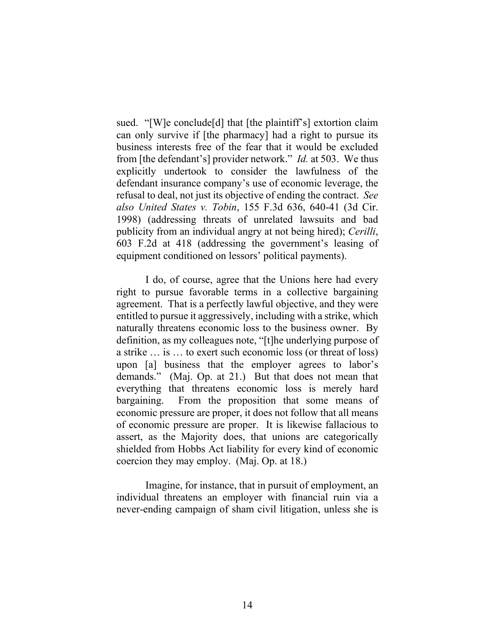sued. "[W]e conclude[d] that [the plaintiff's] extortion claim can only survive if [the pharmacy] had a right to pursue its business interests free of the fear that it would be excluded from [the defendant's] provider network." *Id.* at 503. We thus explicitly undertook to consider the lawfulness of the defendant insurance company's use of economic leverage, the refusal to deal, not just its objective of ending the contract. *See also United States v. Tobin*, 155 F.3d 636, 640-41 (3d Cir. 1998) (addressing threats of unrelated lawsuits and bad publicity from an individual angry at not being hired); *Cerilli*, 603 F.2d at 418 (addressing the government's leasing of equipment conditioned on lessors' political payments).

I do, of course, agree that the Unions here had every right to pursue favorable terms in a collective bargaining agreement. That is a perfectly lawful objective, and they were entitled to pursue it aggressively, including with a strike, which naturally threatens economic loss to the business owner. By definition, as my colleagues note, "[t]he underlying purpose of a strike … is … to exert such economic loss (or threat of loss) upon [a] business that the employer agrees to labor's demands." (Maj. Op. at 21.) But that does not mean that everything that threatens economic loss is merely hard bargaining. From the proposition that some means of economic pressure are proper, it does not follow that all means of economic pressure are proper. It is likewise fallacious to assert, as the Majority does, that unions are categorically shielded from Hobbs Act liability for every kind of economic coercion they may employ. (Maj. Op. at 18.)

Imagine, for instance, that in pursuit of employment, an individual threatens an employer with financial ruin via a never-ending campaign of sham civil litigation, unless she is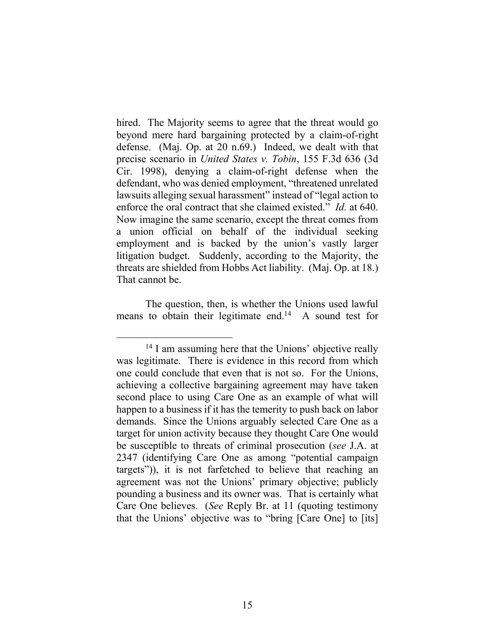hired. The Majority seems to agree that the threat would go beyond mere hard bargaining protected by a claim-of-right defense. (Maj. Op. at 20 n.69.) Indeed, we dealt with that precise scenario in *United States v. Tobin*, 155 F.3d 636 (3d Cir. 1998), denying a claim-of-right defense when the defendant, who was denied employment, "threatened unrelated lawsuits alleging sexual harassment" instead of "legal action to enforce the oral contract that she claimed existed." *Id.* at 640. Now imagine the same scenario, except the threat comes from a union official on behalf of the individual seeking employment and is backed by the union's vastly larger litigation budget. Suddenly, according to the Majority, the threats are shielded from Hobbs Act liability. (Maj. Op. at 18.) That cannot be.

The question, then, is whether the Unions used lawful means to obtain their legitimate end.<sup>14</sup> A sound test for

<sup>&</sup>lt;sup>14</sup> I am assuming here that the Unions' objective really was legitimate. There is evidence in this record from which one could conclude that even that is not so. For the Unions, achieving a collective bargaining agreement may have taken second place to using Care One as an example of what will happen to a business if it has the temerity to push back on labor demands. Since the Unions arguably selected Care One as a target for union activity because they thought Care One would be susceptible to threats of criminal prosecution (*see* J.A. at 2347 (identifying Care One as among "potential campaign targets")), it is not farfetched to believe that reaching an agreement was not the Unions' primary objective; publicly pounding a business and its owner was. That is certainly what Care One believes. (*See* Reply Br. at 11 (quoting testimony that the Unions' objective was to "bring [Care One] to [its]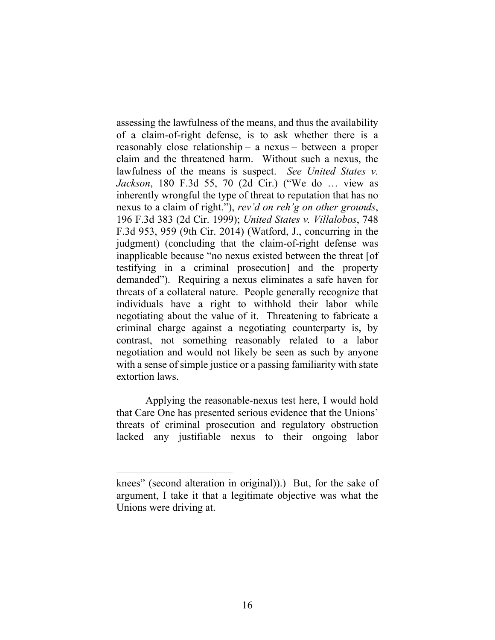assessing the lawfulness of the means, and thus the availability of a claim-of-right defense, is to ask whether there is a reasonably close relationship – a nexus – between a proper claim and the threatened harm. Without such a nexus, the lawfulness of the means is suspect. *See United States v. Jackson*, 180 F.3d 55, 70 (2d Cir.) ("We do … view as inherently wrongful the type of threat to reputation that has no nexus to a claim of right."), *rev'd on reh'g on other grounds*, 196 F.3d 383 (2d Cir. 1999); *United States v. Villalobos*, 748 F.3d 953, 959 (9th Cir. 2014) (Watford, J., concurring in the judgment) (concluding that the claim-of-right defense was inapplicable because "no nexus existed between the threat [of testifying in a criminal prosecution] and the property demanded"). Requiring a nexus eliminates a safe haven for threats of a collateral nature. People generally recognize that individuals have a right to withhold their labor while negotiating about the value of it. Threatening to fabricate a criminal charge against a negotiating counterparty is, by contrast, not something reasonably related to a labor negotiation and would not likely be seen as such by anyone with a sense of simple justice or a passing familiarity with state extortion laws.

Applying the reasonable-nexus test here, I would hold that Care One has presented serious evidence that the Unions' threats of criminal prosecution and regulatory obstruction lacked any justifiable nexus to their ongoing labor

knees" (second alteration in original)).) But, for the sake of argument, I take it that a legitimate objective was what the Unions were driving at.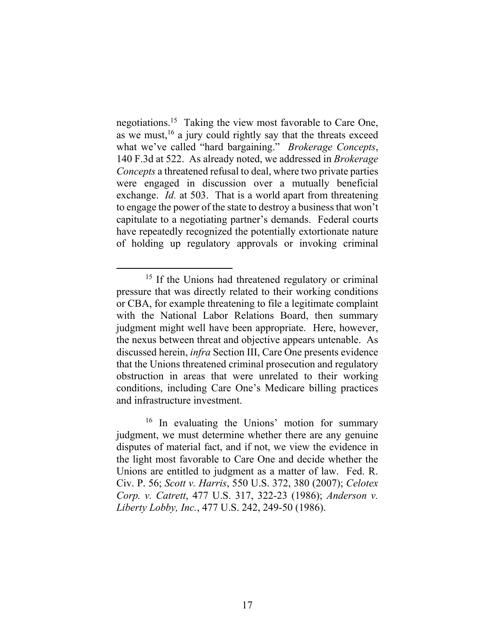negotiations. 15 Taking the view most favorable to Care One, as we must,<sup>16</sup> a jury could rightly say that the threats exceed what we've called "hard bargaining." *Brokerage Concepts*, 140 F.3d at 522. As already noted, we addressed in *Brokerage Concepts* a threatened refusal to deal, where two private parties were engaged in discussion over a mutually beneficial exchange. *Id.* at 503. That is a world apart from threatening to engage the power of the state to destroy a business that won't capitulate to a negotiating partner's demands. Federal courts have repeatedly recognized the potentially extortionate nature of holding up regulatory approvals or invoking criminal

<sup>&</sup>lt;sup>15</sup> If the Unions had threatened regulatory or criminal pressure that was directly related to their working conditions or CBA, for example threatening to file a legitimate complaint with the National Labor Relations Board, then summary judgment might well have been appropriate. Here, however, the nexus between threat and objective appears untenable. As discussed herein, *infra* Section III, Care One presents evidence that the Unions threatened criminal prosecution and regulatory obstruction in areas that were unrelated to their working conditions, including Care One's Medicare billing practices and infrastructure investment.

<sup>&</sup>lt;sup>16</sup> In evaluating the Unions' motion for summary judgment, we must determine whether there are any genuine disputes of material fact, and if not, we view the evidence in the light most favorable to Care One and decide whether the Unions are entitled to judgment as a matter of law. Fed. R. Civ. P. 56; *Scott v. Harris*, 550 U.S. 372, 380 (2007); *Celotex Corp. v. Catrett*, 477 U.S. 317, 322-23 (1986); *Anderson v. Liberty Lobby, Inc.*, 477 U.S. 242, 249-50 (1986).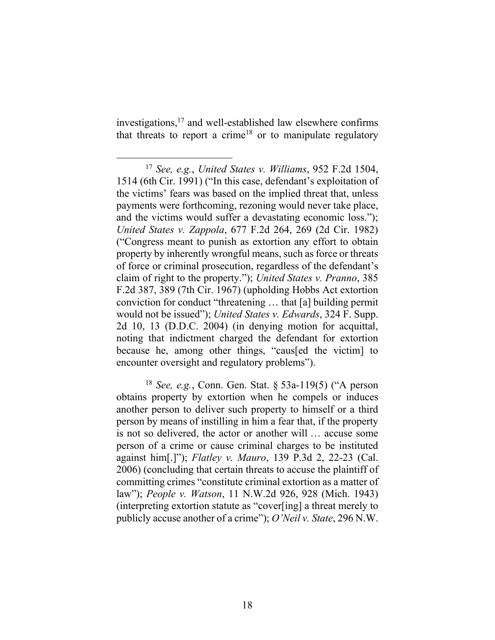investigations, <sup>17</sup> and well-established law elsewhere confirms that threats to report a crime<sup>18</sup> or to manipulate regulatory

<sup>17</sup> *See, e.g.*, *United States v. Williams*, 952 F.2d 1504, 1514 (6th Cir. 1991) ("In this case, defendant's exploitation of the victims' fears was based on the implied threat that, unless payments were forthcoming, rezoning would never take place, and the victims would suffer a devastating economic loss."); *United States v. Zappola*, 677 F.2d 264, 269 (2d Cir. 1982) ("Congress meant to punish as extortion any effort to obtain property by inherently wrongful means, such as force or threats of force or criminal prosecution, regardless of the defendant's claim of right to the property."); *United States v. Pranno*, 385 F.2d 387, 389 (7th Cir. 1967) (upholding Hobbs Act extortion conviction for conduct "threatening … that [a] building permit would not be issued"); *United States v. Edwards*, 324 F. Supp. 2d 10, 13 (D.D.C. 2004) (in denying motion for acquittal, noting that indictment charged the defendant for extortion because he, among other things, "caus[ed the victim] to encounter oversight and regulatory problems").

<sup>18</sup> *See, e.g.*, Conn. Gen. Stat. § 53a-119(5) ("A person obtains property by extortion when he compels or induces another person to deliver such property to himself or a third person by means of instilling in him a fear that, if the property is not so delivered, the actor or another will … accuse some person of a crime or cause criminal charges to be instituted against him[.]"); *Flatley v. Mauro*, 139 P.3d 2, 22-23 (Cal. 2006) (concluding that certain threats to accuse the plaintiff of committing crimes "constitute criminal extortion as a matter of law"); *People v. Watson*, 11 N.W.2d 926, 928 (Mich. 1943) (interpreting extortion statute as "cover[ing] a threat merely to publicly accuse another of a crime"); *O'Neil v. State*, 296 N.W.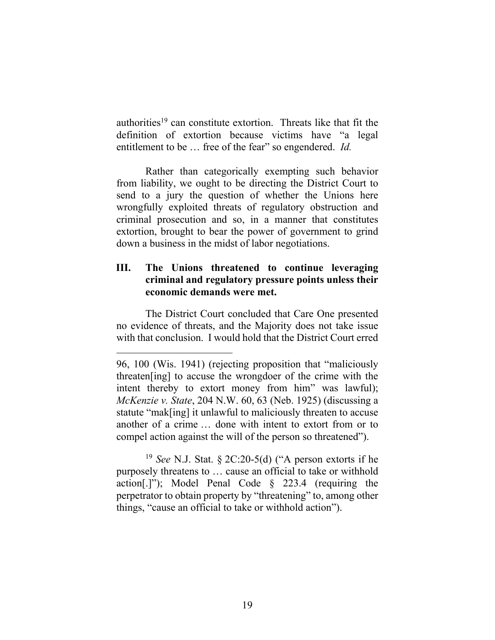authorities<sup>19</sup> can constitute extortion. Threats like that fit the definition of extortion because victims have "a legal entitlement to be … free of the fear" so engendered. *Id.*

Rather than categorically exempting such behavior from liability, we ought to be directing the District Court to send to a jury the question of whether the Unions here wrongfully exploited threats of regulatory obstruction and criminal prosecution and so, in a manner that constitutes extortion, brought to bear the power of government to grind down a business in the midst of labor negotiations.

# **III. The Unions threatened to continue leveraging criminal and regulatory pressure points unless their economic demands were met.**

The District Court concluded that Care One presented no evidence of threats, and the Majority does not take issue with that conclusion. I would hold that the District Court erred

<sup>19</sup> *See* N.J. Stat. § 2C:20-5(d) ("A person extorts if he purposely threatens to … cause an official to take or withhold action[.]"); Model Penal Code § 223.4 (requiring the perpetrator to obtain property by "threatening" to, among other things, "cause an official to take or withhold action").

<sup>96, 100</sup> (Wis. 1941) (rejecting proposition that "maliciously threaten[ing] to accuse the wrongdoer of the crime with the intent thereby to extort money from him" was lawful); *McKenzie v. State*, 204 N.W. 60, 63 (Neb. 1925) (discussing a statute "mak[ing] it unlawful to maliciously threaten to accuse another of a crime … done with intent to extort from or to compel action against the will of the person so threatened").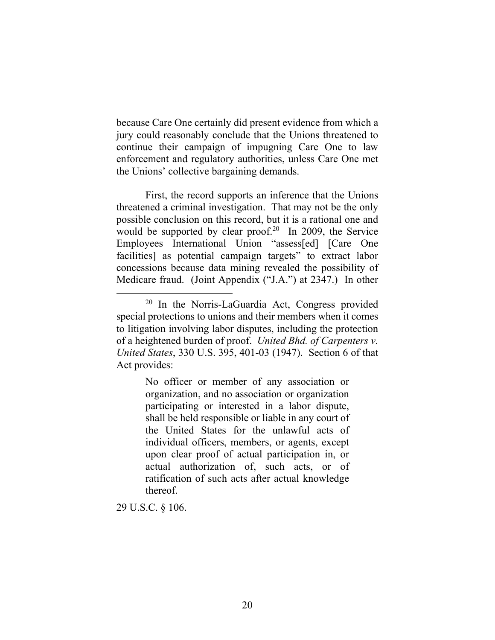because Care One certainly did present evidence from which a jury could reasonably conclude that the Unions threatened to continue their campaign of impugning Care One to law enforcement and regulatory authorities, unless Care One met the Unions' collective bargaining demands.

<span id="page-55-0"></span>First, the record supports an inference that the Unions threatened a criminal investigation. That may not be the only possible conclusion on this record, but it is a rational one and would be supported by clear proof.<sup>20</sup> In 2009, the Service Employees International Union "assess[ed] [Care One facilities] as potential campaign targets" to extract labor concessions because data mining revealed the possibility of Medicare fraud. (Joint Appendix ("J.A.") at 2347.) In other

No officer or member of any association or organization, and no association or organization participating or interested in a labor dispute, shall be held responsible or liable in any court of the United States for the unlawful acts of individual officers, members, or agents, except upon clear proof of actual participation in, or actual authorization of, such acts, or of ratification of such acts after actual knowledge thereof.

29 U.S.C. § 106.

<sup>&</sup>lt;sup>20</sup> In the Norris-LaGuardia Act, Congress provided special protections to unions and their members when it comes to litigation involving labor disputes, including the protection of a heightened burden of proof. *United Bhd. of Carpenters v. United States*, 330 U.S. 395, 401-03 (1947). Section 6 of that Act provides: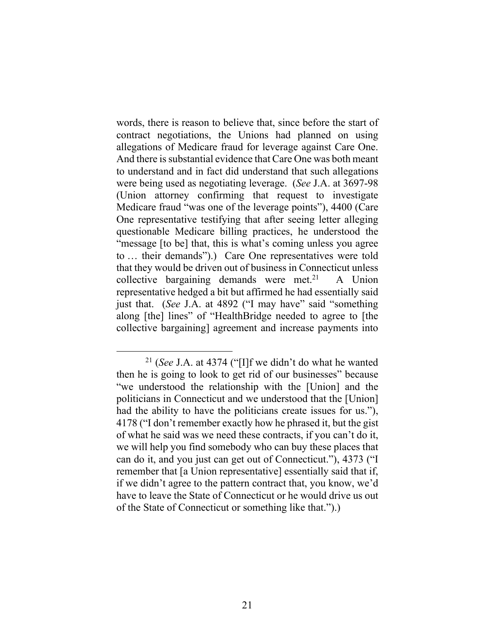words, there is reason to believe that, since before the start of contract negotiations, the Unions had planned on using allegations of Medicare fraud for leverage against Care One. And there is substantial evidence that Care One was both meant to understand and in fact did understand that such allegations were being used as negotiating leverage. (*See* J.A. at 3697-98 (Union attorney confirming that request to investigate Medicare fraud "was one of the leverage points"), 4400 (Care One representative testifying that after seeing letter alleging questionable Medicare billing practices, he understood the "message [to be] that, this is what's coming unless you agree to … their demands").) Care One representatives were told that they would be driven out of business in Connecticut unless collective bargaining demands were met.<sup>21</sup> A Union representative hedged a bit but affirmed he had essentially said just that. (*See* J.A. at 4892 ("I may have" said "something along [the] lines" of "HealthBridge needed to agree to [the collective bargaining] agreement and increase payments into

<sup>21</sup> (*See* J.A. at 4374 ("[I]f we didn't do what he wanted then he is going to look to get rid of our businesses" because "we understood the relationship with the [Union] and the politicians in Connecticut and we understood that the [Union] had the ability to have the politicians create issues for us."), 4178 ("I don't remember exactly how he phrased it, but the gist of what he said was we need these contracts, if you can't do it, we will help you find somebody who can buy these places that can do it, and you just can get out of Connecticut."), 4373 ("I remember that [a Union representative] essentially said that if, if we didn't agree to the pattern contract that, you know, we'd have to leave the State of Connecticut or he would drive us out of the State of Connecticut or something like that.").)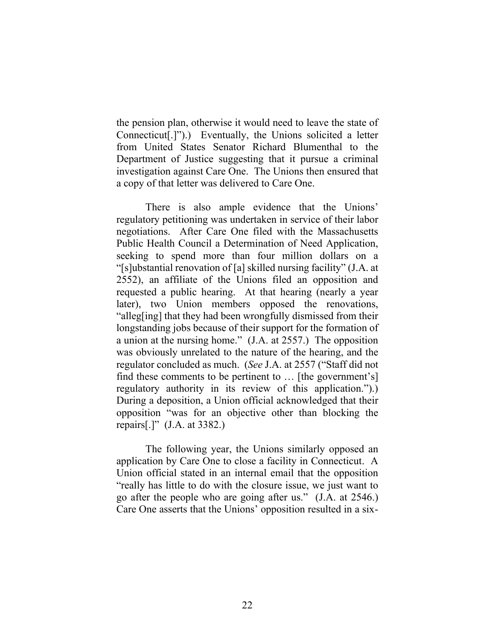the pension plan, otherwise it would need to leave the state of Connecticut[.]").) Eventually, the Unions solicited a letter from United States Senator Richard Blumenthal to the Department of Justice suggesting that it pursue a criminal investigation against Care One. The Unions then ensured that a copy of that letter was delivered to Care One.

There is also ample evidence that the Unions' regulatory petitioning was undertaken in service of their labor negotiations. After Care One filed with the Massachusetts Public Health Council a Determination of Need Application, seeking to spend more than four million dollars on a "[s]ubstantial renovation of [a] skilled nursing facility" (J.A. at 2552), an affiliate of the Unions filed an opposition and requested a public hearing. At that hearing (nearly a year later), two Union members opposed the renovations, "alleg[ing] that they had been wrongfully dismissed from their longstanding jobs because of their support for the formation of a union at the nursing home." (J.A. at 2557.) The opposition was obviously unrelated to the nature of the hearing, and the regulator concluded as much. (*See* J.A. at 2557 ("Staff did not find these comments to be pertinent to … [the government's] regulatory authority in its review of this application.").) During a deposition, a Union official acknowledged that their opposition "was for an objective other than blocking the repairs[.]" (J.A. at 3382.)

The following year, the Unions similarly opposed an application by Care One to close a facility in Connecticut. A Union official stated in an internal email that the opposition "really has little to do with the closure issue, we just want to go after the people who are going after us." (J.A. at 2546.) Care One asserts that the Unions' opposition resulted in a six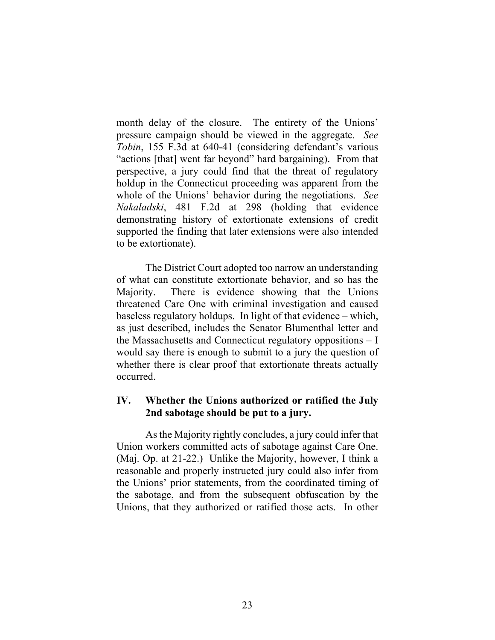month delay of the closure. The entirety of the Unions' pressure campaign should be viewed in the aggregate. *See Tobin*, 155 F.3d at 640-41 (considering defendant's various "actions [that] went far beyond" hard bargaining). From that perspective, a jury could find that the threat of regulatory holdup in the Connecticut proceeding was apparent from the whole of the Unions' behavior during the negotiations. *See Nakaladski*, 481 F.2d at 298 (holding that evidence demonstrating history of extortionate extensions of credit supported the finding that later extensions were also intended to be extortionate).

The District Court adopted too narrow an understanding of what can constitute extortionate behavior, and so has the Majority. There is evidence showing that the Unions threatened Care One with criminal investigation and caused baseless regulatory holdups. In light of that evidence – which, as just described, includes the Senator Blumenthal letter and the Massachusetts and Connecticut regulatory oppositions – I would say there is enough to submit to a jury the question of whether there is clear proof that extortionate threats actually occurred.

## **IV. Whether the Unions authorized or ratified the July 2nd sabotage should be put to a jury.**

As the Majority rightly concludes, a jury could infer that Union workers committed acts of sabotage against Care One. (Maj. Op. at 21-22.) Unlike the Majority, however, I think a reasonable and properly instructed jury could also infer from the Unions' prior statements, from the coordinated timing of the sabotage, and from the subsequent obfuscation by the Unions, that they authorized or ratified those acts. In other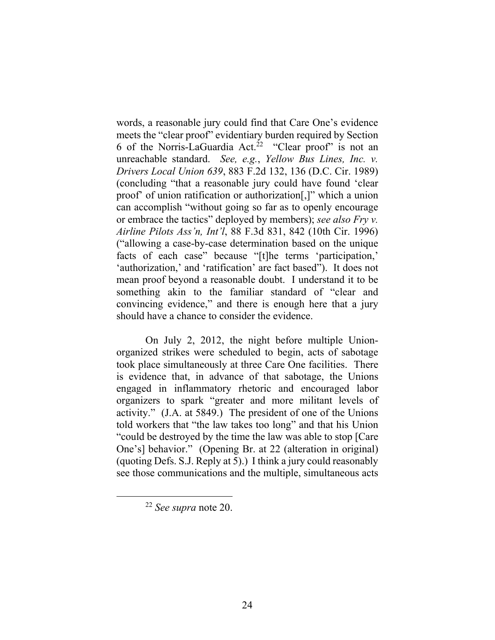words, a reasonable jury could find that Care One's evidence meets the "clear proof" evidentiary burden required by Section 6 of the Norris-LaGuardia Act.<sup>22</sup> "Clear proof" is not an unreachable standard. *See, e.g.*, *Yellow Bus Lines, Inc. v. Drivers Local Union 639*, 883 F.2d 132, 136 (D.C. Cir. 1989) (concluding "that a reasonable jury could have found 'clear proof' of union ratification or authorization[,]" which a union can accomplish "without going so far as to openly encourage or embrace the tactics" deployed by members); *see also Fry v. Airline Pilots Ass'n, Int'l*, 88 F.3d 831, 842 (10th Cir. 1996) ("allowing a case-by-case determination based on the unique facts of each case" because "[t]he terms 'participation,' 'authorization,' and 'ratification' are fact based"). It does not mean proof beyond a reasonable doubt. I understand it to be something akin to the familiar standard of "clear and convincing evidence," and there is enough here that a jury should have a chance to consider the evidence.

On July 2, 2012, the night before multiple Unionorganized strikes were scheduled to begin, acts of sabotage took place simultaneously at three Care One facilities. There is evidence that, in advance of that sabotage, the Unions engaged in inflammatory rhetoric and encouraged labor organizers to spark "greater and more militant levels of activity." (J.A. at 5849.) The president of one of the Unions told workers that "the law takes too long" and that his Union "could be destroyed by the time the law was able to stop [Care One's] behavior." (Opening Br. at 22 (alteration in original) (quoting Defs. S.J. Reply at 5).) I think a jury could reasonably see those communications and the multiple, simultaneous acts

<sup>22</sup> *See supra* note [20.](#page-55-0)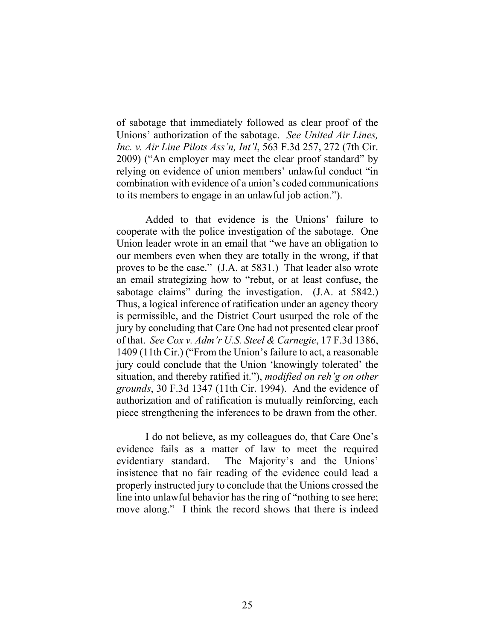of sabotage that immediately followed as clear proof of the Unions' authorization of the sabotage. *See United Air Lines, Inc. v. Air Line Pilots Ass'n, Int'l*, 563 F.3d 257, 272 (7th Cir. 2009) ("An employer may meet the clear proof standard" by relying on evidence of union members' unlawful conduct "in combination with evidence of a union's coded communications to its members to engage in an unlawful job action.").

Added to that evidence is the Unions' failure to cooperate with the police investigation of the sabotage. One Union leader wrote in an email that "we have an obligation to our members even when they are totally in the wrong, if that proves to be the case." (J.A. at 5831.) That leader also wrote an email strategizing how to "rebut, or at least confuse, the sabotage claims" during the investigation. (J.A. at 5842.) Thus, a logical inference of ratification under an agency theory is permissible, and the District Court usurped the role of the jury by concluding that Care One had not presented clear proof of that. *See Cox v. Adm'r U.S. Steel & Carnegie*, 17 F.3d 1386, 1409 (11th Cir.) ("From the Union's failure to act, a reasonable jury could conclude that the Union 'knowingly tolerated' the situation, and thereby ratified it."), *modified on reh'g on other grounds*, 30 F.3d 1347 (11th Cir. 1994). And the evidence of authorization and of ratification is mutually reinforcing, each piece strengthening the inferences to be drawn from the other.

I do not believe, as my colleagues do, that Care One's evidence fails as a matter of law to meet the required evidentiary standard. The Majority's and the Unions' insistence that no fair reading of the evidence could lead a properly instructed jury to conclude that the Unions crossed the line into unlawful behavior has the ring of "nothing to see here; move along." I think the record shows that there is indeed